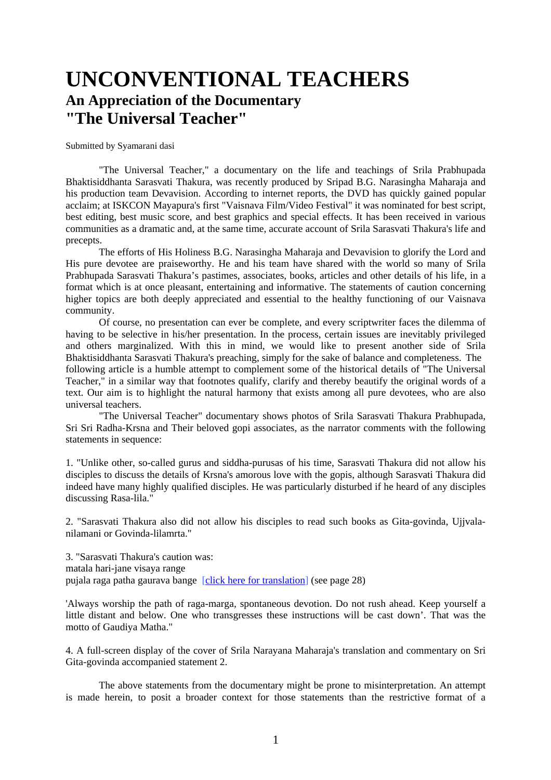# **UNCONVENTIONAL TEACHERS An Appreciation of the Documentary "The Universal Teacher"**

Submitted by Syamarani dasi

"The Universal Teacher," a documentary on the life and teachings of Srila Prabhupada Bhaktisiddhanta Sarasvati Thakura, was recently produced by Sripad B.G. Narasingha Maharaja and his production team Devavision. According to internet reports, the DVD has quickly gained popular acclaim; at ISKCON Mayapura's first "Vaisnava Film/Video Festival" it was nominated for best script, best editing, best music score, and best graphics and special effects. It has been received in various communities as a dramatic and, at the same time, accurate account of Srila Sarasvati Thakura's life and precepts.

The efforts of His Holiness B.G. Narasingha Maharaja and Devavision to glorify the Lord and His pure devotee are praiseworthy. He and his team have shared with the world so many of Srila Prabhupada Sarasvati Thakura's pastimes, associates, books, articles and other details of his life, in a format which is at once pleasant, entertaining and informative. The statements of caution concerning higher topics are both deeply appreciated and essential to the healthy functioning of our Vaisnava community.

Of course, no presentation can ever be complete, and every scriptwriter faces the dilemma of having to be selective in his/her presentation. In the process, certain issues are inevitably privileged and others marginalized. With this in mind, we would like to present another side of Srila Bhaktisiddhanta Sarasvati Thakura's preaching, simply for the sake of balance and completeness. The following article is a humble attempt to complement some of the historical details of "The Universal Teacher," in a similar way that footnotes qualify, clarify and thereby beautify the original words of a text. Our aim is to highlight the natural harmony that exists among all pure devotees, who are also universal teachers.

"The Universal Teacher" documentary shows photos of Srila Sarasvati Thakura Prabhupada, Sri Sri Radha-Krsna and Their beloved gopi associates, as the narrator comments with the following statements in sequence:

1. "Unlike other, so-called gurus and siddha-purusas of his time, Sarasvati Thakura did not allow his disciples to discuss the details of Krsna's amorous love with the gopis, although Sarasvati Thakura did indeed have many highly qualified disciples. He was particularly disturbed if he heard of any disciples discussing Rasa-lila."

2. "Sarasvati Thakura also did not allow his disciples to read such books as Gita-govinda, Ujjvalanilamani or Govinda-lilamrta."

3. "Sarasvati Thakura's caution was: matala hari-jane visaya range pujala raga patha gaurava bange [[click here for translation\]](#page-27-0) (see page 28)

'Always worship the path of raga-marga, spontaneous devotion. Do not rush ahead. Keep yourself a little distant and below. One who transgresses these instructions will be cast down'. That was the motto of Gaudiya Matha."

4. A full-screen display of the cover of Srila Narayana Maharaja's translation and commentary on Sri Gita-govinda accompanied statement 2.

The above statements from the documentary might be prone to misinterpretation. An attempt is made herein, to posit a broader context for those statements than the restrictive format of a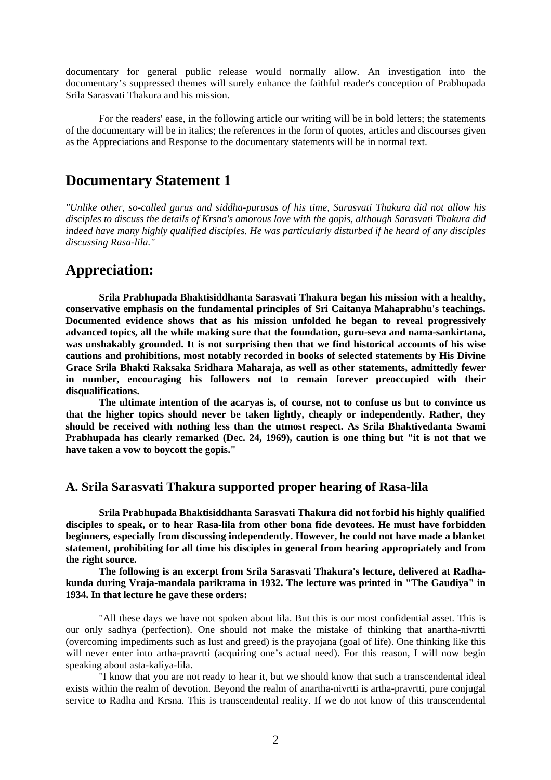documentary for general public release would normally allow. An investigation into the documentary's suppressed themes will surely enhance the faithful reader's conception of Prabhupada Srila Sarasvati Thakura and his mission.

For the readers' ease, in the following article our writing will be in bold letters; the statements of the documentary will be in italics; the references in the form of quotes, articles and discourses given as the Appreciations and Response to the documentary statements will be in normal text.

# **Documentary Statement 1**

*"Unlike other, so-called gurus and siddha-purusas of his time, Sarasvati Thakura did not allow his disciples to discuss the details of Krsna's amorous love with the gopis, although Sarasvati Thakura did indeed have many highly qualified disciples. He was particularly disturbed if he heard of any disciples discussing Rasa-lila."* 

# **Appreciation:**

**Srila Prabhupada Bhaktisiddhanta Sarasvati Thakura began his mission with a healthy, conservative emphasis on the fundamental principles of Sri Caitanya Mahaprabhu's teachings. Documented evidence shows that as his mission unfolded he began to reveal progressively advanced topics, all the while making sure that the foundation, guru-seva and nama-sankirtana, was unshakably grounded. It is not surprising then that we find historical accounts of his wise cautions and prohibitions, most notably recorded in books of selected statements by His Divine Grace Srila Bhakti Raksaka Sridhara Maharaja, as well as other statements, admittedly fewer in number, encouraging his followers not to remain forever preoccupied with their disqualifications.** 

**The ultimate intention of the acaryas is, of course, not to confuse us but to convince us that the higher topics should never be taken lightly, cheaply or independently. Rather, they should be received with nothing less than the utmost respect. As Srila Bhaktivedanta Swami Prabhupada has clearly remarked (Dec. 24, 1969), caution is one thing but "it is not that we have taken a vow to boycott the gopis."** 

# **A. Srila Sarasvati Thakura supported proper hearing of Rasa-lila**

**Srila Prabhupada Bhaktisiddhanta Sarasvati Thakura did not forbid his highly qualified disciples to speak, or to hear Rasa-lila from other bona fide devotees. He must have forbidden beginners, especially from discussing independently. However, he could not have made a blanket statement, prohibiting for all time his disciples in general from hearing appropriately and from the right source.** 

**The following is an excerpt from Srila Sarasvati Thakura's lecture, delivered at Radhakunda during Vraja-mandala parikrama in 1932. The lecture was printed in "The Gaudiya" in 1934. In that lecture he gave these orders:** 

"All these days we have not spoken about lila. But this is our most confidential asset. This is our only sadhya (perfection). One should not make the mistake of thinking that anartha-nivrtti (overcoming impediments such as lust and greed) is the prayojana (goal of life). One thinking like this will never enter into artha-pravrtti (acquiring one's actual need). For this reason, I will now begin speaking about asta-kaliya-lila.

"I know that you are not ready to hear it, but we should know that such a transcendental ideal exists within the realm of devotion. Beyond the realm of anartha-nivrtti is artha-pravrtti, pure conjugal service to Radha and Krsna. This is transcendental reality. If we do not know of this transcendental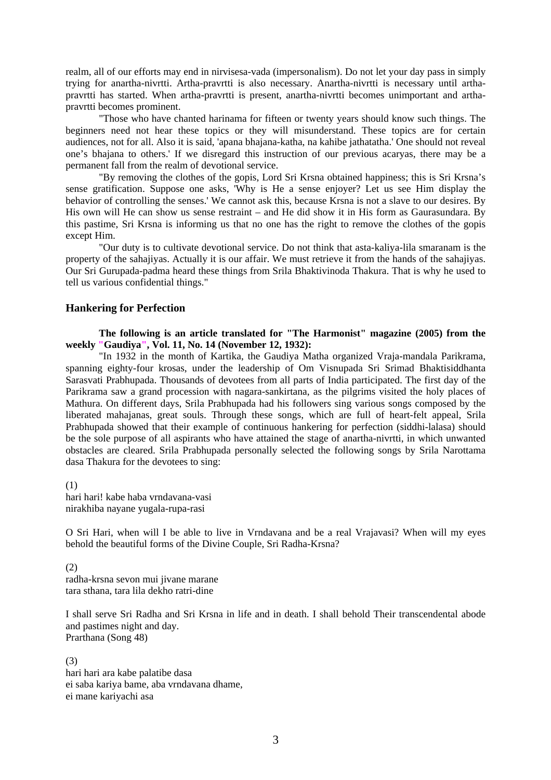realm, all of our efforts may end in nirvisesa-vada (impersonalism). Do not let your day pass in simply trying for anartha-nivrtti. Artha-pravrtti is also necessary. Anartha-nivrtti is necessary until arthapravrtti has started. When artha-pravrtti is present, anartha-nivrtti becomes unimportant and arthapravrtti becomes prominent.

"Those who have chanted harinama for fifteen or twenty years should know such things. The beginners need not hear these topics or they will misunderstand. These topics are for certain audiences, not for all. Also it is said, 'apana bhajana-katha, na kahibe jathatatha.' One should not reveal one's bhajana to others.' If we disregard this instruction of our previous acaryas, there may be a permanent fall from the realm of devotional service.

"By removing the clothes of the gopis, Lord Sri Krsna obtained happiness; this is Sri Krsna's sense gratification. Suppose one asks, 'Why is He a sense enjoyer? Let us see Him display the behavior of controlling the senses.' We cannot ask this, because Krsna is not a slave to our desires. By His own will He can show us sense restraint – and He did show it in His form as Gaurasundara. By this pastime, Sri Krsna is informing us that no one has the right to remove the clothes of the gopis except Him.

"Our duty is to cultivate devotional service. Do not think that asta-kaliya-lila smaranam is the property of the sahajiyas. Actually it is our affair. We must retrieve it from the hands of the sahajiyas. Our Sri Gurupada-padma heard these things from Srila Bhaktivinoda Thakura. That is why he used to tell us various confidential things."

#### **Hankering for Perfection**

**The following is an article translated for "The Harmonist" magazine (2005) from the weekly "Gaudiya", Vol. 11, No. 14 (November 12, 1932):** 

"In 1932 in the month of Kartika, the Gaudiya Matha organized Vraja-mandala Parikrama, spanning eighty-four krosas, under the leadership of Om Visnupada Sri Srimad Bhaktisiddhanta Sarasvati Prabhupada. Thousands of devotees from all parts of India participated. The first day of the Parikrama saw a grand procession with nagara-sankirtana, as the pilgrims visited the holy places of Mathura. On different days, Srila Prabhupada had his followers sing various songs composed by the liberated mahajanas, great souls. Through these songs, which are full of heart-felt appeal, Srila Prabhupada showed that their example of continuous hankering for perfection (siddhi-lalasa) should be the sole purpose of all aspirants who have attained the stage of anartha-nivrtti, in which unwanted obstacles are cleared. Srila Prabhupada personally selected the following songs by Srila Narottama dasa Thakura for the devotees to sing:

(1)

hari hari! kabe haba vrndavana-vasi nirakhiba nayane yugala-rupa-rasi

O Sri Hari, when will I be able to live in Vrndavana and be a real Vrajavasi? When will my eyes behold the beautiful forms of the Divine Couple, Sri Radha-Krsna?

(2)

radha-krsna sevon mui jivane marane tara sthana, tara lila dekho ratri-dine

I shall serve Sri Radha and Sri Krsna in life and in death. I shall behold Their transcendental abode and pastimes night and day. Prarthana (Song 48)

(3) hari hari ara kabe palatibe dasa ei saba kariya bame, aba vrndavana dhame, ei mane kariyachi asa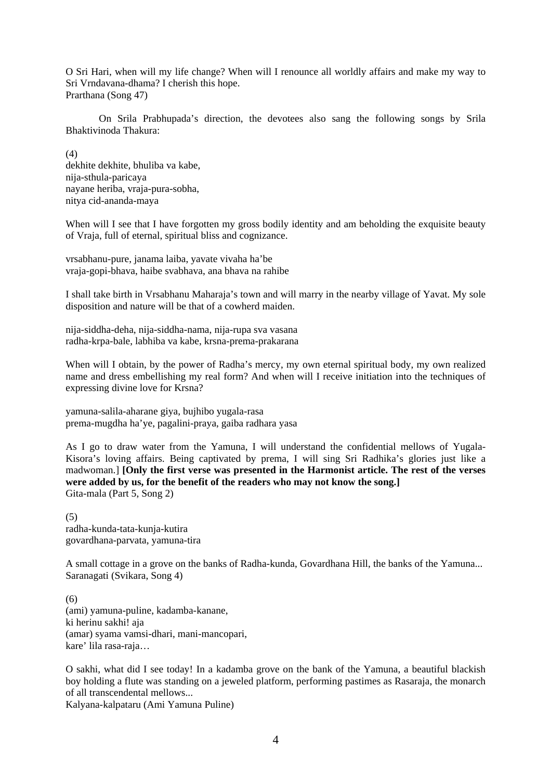O Sri Hari, when will my life change? When will I renounce all worldly affairs and make my way to Sri Vrndavana-dhama? I cherish this hope. Prarthana (Song 47)

On Srila Prabhupada's direction, the devotees also sang the following songs by Srila Bhaktivinoda Thakura:

(4) dekhite dekhite, bhuliba va kabe, nija-sthula-paricaya nayane heriba, vraja-pura-sobha, nitya cid-ananda-maya

When will I see that I have forgotten my gross bodily identity and am beholding the exquisite beauty of Vraja, full of eternal, spiritual bliss and cognizance.

vrsabhanu-pure, janama laiba, yavate vivaha ha'be vraja-gopi-bhava, haibe svabhava, ana bhava na rahibe

I shall take birth in Vrsabhanu Maharaja's town and will marry in the nearby village of Yavat. My sole disposition and nature will be that of a cowherd maiden.

nija-siddha-deha, nija-siddha-nama, nija-rupa sva vasana radha-krpa-bale, labhiba va kabe, krsna-prema-prakarana

When will I obtain, by the power of Radha's mercy, my own eternal spiritual body, my own realized name and dress embellishing my real form? And when will I receive initiation into the techniques of expressing divine love for Krsna?

yamuna-salila-aharane giya, bujhibo yugala-rasa prema-mugdha ha'ye, pagalini-praya, gaiba radhara yasa

As I go to draw water from the Yamuna, I will understand the confidential mellows of Yugala-Kisora's loving affairs. Being captivated by prema, I will sing Sri Radhika's glories just like a madwoman.] **[Only the first verse was presented in the Harmonist article. The rest of the verses were added by us, for the benefit of the readers who may not know the song.]**  Gita-mala (Part 5, Song 2)

(5) radha-kunda-tata-kunja-kutira govardhana-parvata, yamuna-tira

A small cottage in a grove on the banks of Radha-kunda, Govardhana Hill, the banks of the Yamuna... Saranagati (Svikara, Song 4)

(6) (ami) yamuna-puline, kadamba-kanane, ki herinu sakhi! aja (amar) syama vamsi-dhari, mani-mancopari, kare' lila rasa-raja…

O sakhi, what did I see today! In a kadamba grove on the bank of the Yamuna, a beautiful blackish boy holding a flute was standing on a jeweled platform, performing pastimes as Rasaraja, the monarch of all transcendental mellows...

Kalyana-kalpataru (Ami Yamuna Puline)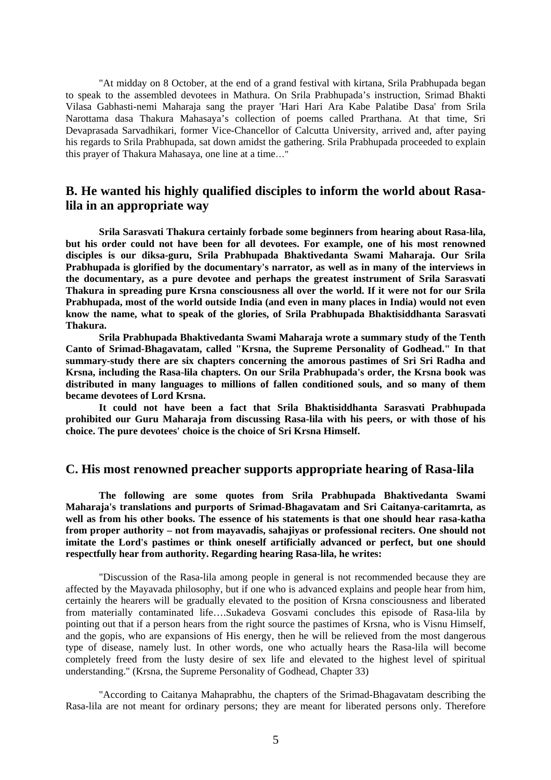"At midday on 8 October, at the end of a grand festival with kirtana, Srila Prabhupada began to speak to the assembled devotees in Mathura. On Srila Prabhupada's instruction, Srimad Bhakti Vilasa Gabhasti-nemi Maharaja sang the prayer 'Hari Hari Ara Kabe Palatibe Dasa' from Srila Narottama dasa Thakura Mahasaya's collection of poems called Prarthana. At that time, Sri Devaprasada Sarvadhikari, former Vice-Chancellor of Calcutta University, arrived and, after paying his regards to Srila Prabhupada, sat down amidst the gathering. Srila Prabhupada proceeded to explain this prayer of Thakura Mahasaya, one line at a time…"

# **B. He wanted his highly qualified disciples to inform the world about Rasalila in an appropriate way**

**Srila Sarasvati Thakura certainly forbade some beginners from hearing about Rasa-lila, but his order could not have been for all devotees. For example, one of his most renowned disciples is our diksa-guru, Srila Prabhupada Bhaktivedanta Swami Maharaja. Our Srila Prabhupada is glorified by the documentary's narrator, as well as in many of the interviews in the documentary, as a pure devotee and perhaps the greatest instrument of Srila Sarasvati Thakura in spreading pure Krsna consciousness all over the world. If it were not for our Srila Prabhupada, most of the world outside India (and even in many places in India) would not even know the name, what to speak of the glories, of Srila Prabhupada Bhaktisiddhanta Sarasvati Thakura.** 

**Srila Prabhupada Bhaktivedanta Swami Maharaja wrote a summary study of the Tenth Canto of Srimad-Bhagavatam, called "Krsna, the Supreme Personality of Godhead." In that summary-study there are six chapters concerning the amorous pastimes of Sri Sri Radha and Krsna, including the Rasa-lila chapters. On our Srila Prabhupada's order, the Krsna book was** distributed in many languages to millions of fallen conditioned souls, and so many of them **became devotees of Lord Krsna.** 

**It could not have been a fact that Srila Bhaktisiddhanta Sarasvati Prabhupada prohibited our Guru Maharaja from discussing Rasa-lila with his peers, or with those of his choice. The pure devotees' choice is the choice of Sri Krsna Himself.** 

## **C. His most renowned preacher supports appropriate hearing of Rasa-lila**

**The following are some quotes from Srila Prabhupada Bhaktivedanta Swami Maharaja's translations and purports of Srimad-Bhagavatam and Sri Caitanya-caritamrta, as well as from his other books. The essence of his statements is that one should hear rasa-katha from proper authority – not from mayavadis, sahajiyas or professional reciters. One should not imitate the Lord's pastimes or think oneself artificially advanced or perfect, but one should respectfully hear from authority. Regarding hearing Rasa-lila, he writes:** 

"Discussion of the Rasa-lila among people in general is not recommended because they are affected by the Mayavada philosophy, but if one who is advanced explains and people hear from him, certainly the hearers will be gradually elevated to the position of Krsna consciousness and liberated from materially contaminated life….Sukadeva Gosvami concludes this episode of Rasa-lila by pointing out that if a person hears from the right source the pastimes of Krsna, who is Visnu Himself, and the gopis, who are expansions of His energy, then he will be relieved from the most dangerous type of disease, namely lust. In other words, one who actually hears the Rasa-lila will become completely freed from the lusty desire of sex life and elevated to the highest level of spiritual understanding." (Krsna, the Supreme Personality of Godhead, Chapter 33)

"According to Caitanya Mahaprabhu, the chapters of the Srimad-Bhagavatam describing the Rasa-lila are not meant for ordinary persons; they are meant for liberated persons only. Therefore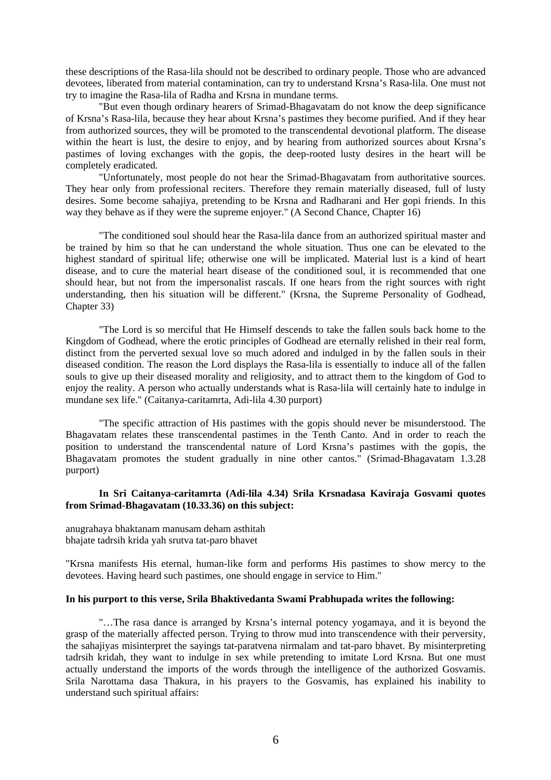these descriptions of the Rasa-lila should not be described to ordinary people. Those who are advanced devotees, liberated from material contamination, can try to understand Krsna's Rasa-lila. One must not try to imagine the Rasa-lila of Radha and Krsna in mundane terms.

"But even though ordinary hearers of Srimad-Bhagavatam do not know the deep significance of Krsna's Rasa-lila, because they hear about Krsna's pastimes they become purified. And if they hear from authorized sources, they will be promoted to the transcendental devotional platform. The disease within the heart is lust, the desire to enjoy, and by hearing from authorized sources about Krsna's pastimes of loving exchanges with the gopis, the deep-rooted lusty desires in the heart will be completely eradicated.

"Unfortunately, most people do not hear the Srimad-Bhagavatam from authoritative sources. They hear only from professional reciters. Therefore they remain materially diseased, full of lusty desires. Some become sahajiya, pretending to be Krsna and Radharani and Her gopi friends. In this way they behave as if they were the supreme enjoyer." (A Second Chance, Chapter 16)

"The conditioned soul should hear the Rasa-lila dance from an authorized spiritual master and be trained by him so that he can understand the whole situation. Thus one can be elevated to the highest standard of spiritual life; otherwise one will be implicated. Material lust is a kind of heart disease, and to cure the material heart disease of the conditioned soul, it is recommended that one should hear, but not from the impersonalist rascals. If one hears from the right sources with right understanding, then his situation will be different." (Krsna, the Supreme Personality of Godhead, Chapter 33)

"The Lord is so merciful that He Himself descends to take the fallen souls back home to the Kingdom of Godhead, where the erotic principles of Godhead are eternally relished in their real form, distinct from the perverted sexual love so much adored and indulged in by the fallen souls in their diseased condition. The reason the Lord displays the Rasa-lila is essentially to induce all of the fallen souls to give up their diseased morality and religiosity, and to attract them to the kingdom of God to enjoy the reality. A person who actually understands what is Rasa-lila will certainly hate to indulge in mundane sex life." (Caitanya-caritamrta, Adi-lila 4.30 purport)

"The specific attraction of His pastimes with the gopis should never be misunderstood. The Bhagavatam relates these transcendental pastimes in the Tenth Canto. And in order to reach the position to understand the transcendental nature of Lord Krsna's pastimes with the gopis, the Bhagavatam promotes the student gradually in nine other cantos." (Srimad-Bhagavatam 1.3.28 purport)

## **In Sri Caitanya-caritamrta (Adi-lila 4.34) Srila Krsnadasa Kaviraja Gosvami quotes from Srimad-Bhagavatam (10.33.36) on this subject:**

anugrahaya bhaktanam manusam deham asthitah bhajate tadrsih krida yah srutva tat-paro bhavet

"Krsna manifests His eternal, human-like form and performs His pastimes to show mercy to the devotees. Having heard such pastimes, one should engage in service to Him."

### **In his purport to this verse, Srila Bhaktivedanta Swami Prabhupada writes the following:**

"…The rasa dance is arranged by Krsna's internal potency yogamaya, and it is beyond the grasp of the materially affected person. Trying to throw mud into transcendence with their perversity, the sahajiyas misinterpret the sayings tat-paratvena nirmalam and tat-paro bhavet. By misinterpreting tadrsih kridah, they want to indulge in sex while pretending to imitate Lord Krsna. But one must actually understand the imports of the words through the intelligence of the authorized Gosvamis. Srila Narottama dasa Thakura, in his prayers to the Gosvamis, has explained his inability to understand such spiritual affairs: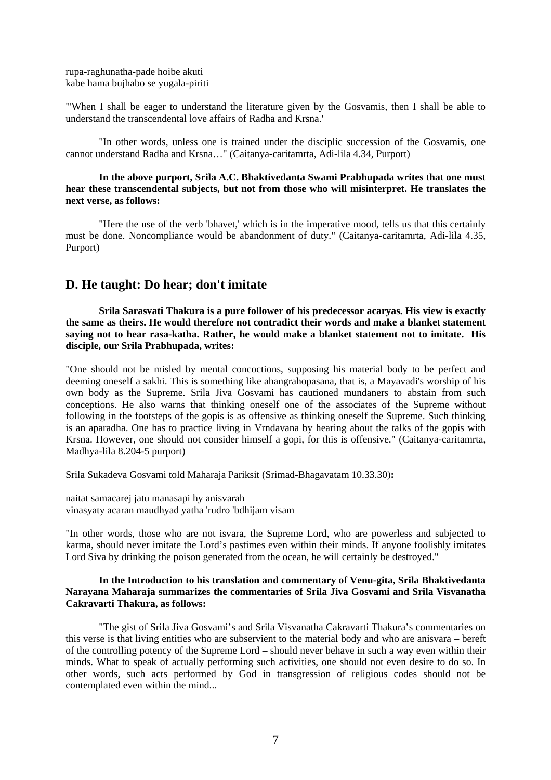rupa-raghunatha-pade hoibe akuti kabe hama bujhabo se yugala-piriti

"'When I shall be eager to understand the literature given by the Gosvamis, then I shall be able to understand the transcendental love affairs of Radha and Krsna.'

"In other words, unless one is trained under the disciplic succession of the Gosvamis, one cannot understand Radha and Krsna…" (Caitanya-caritamrta, Adi-lila 4.34, Purport)

### **In the above purport, Srila A.C. Bhaktivedanta Swami Prabhupada writes that one must hear these transcendental subjects, but not from those who will misinterpret. He translates the next verse, as follows:**

"Here the use of the verb 'bhavet,' which is in the imperative mood, tells us that this certainly must be done. Noncompliance would be abandonment of duty." (Caitanya-caritamrta, Adi-lila 4.35, Purport)

## **D. He taught: Do hear; don't imitate**

**Srila Sarasvati Thakura is a pure follower of his predecessor acaryas. His view is exactly the same as theirs. He would therefore not contradict their words and make a blanket statement saying not to hear rasa-katha. Rather, he would make a blanket statement not to imitate. His disciple, our Srila Prabhupada, writes:** 

"One should not be misled by mental concoctions, supposing his material body to be perfect and deeming oneself a sakhi. This is something like ahangrahopasana, that is, a Mayavadi's worship of his own body as the Supreme. Srila Jiva Gosvami has cautioned mundaners to abstain from such conceptions. He also warns that thinking oneself one of the associates of the Supreme without following in the footsteps of the gopis is as offensive as thinking oneself the Supreme. Such thinking is an aparadha. One has to practice living in Vrndavana by hearing about the talks of the gopis with Krsna. However, one should not consider himself a gopi, for this is offensive." (Caitanya-caritamrta, Madhya-lila 8.204-5 purport)

Srila Sukadeva Gosvami told Maharaja Pariksit (Srimad-Bhagavatam 10.33.30)**:** 

naitat samacarej jatu manasapi hy anisvarah vinasyaty acaran maudhyad yatha 'rudro 'bdhijam visam

"In other words, those who are not isvara, the Supreme Lord, who are powerless and subjected to karma, should never imitate the Lord's pastimes even within their minds. If anyone foolishly imitates Lord Siva by drinking the poison generated from the ocean, he will certainly be destroyed."

#### **In the Introduction to his translation and commentary of Venu-gita, Srila Bhaktivedanta Narayana Maharaja summarizes the commentaries of Srila Jiva Gosvami and Srila Visvanatha Cakravarti Thakura, as follows:**

"The gist of Srila Jiva Gosvami's and Srila Visvanatha Cakravarti Thakura's commentaries on this verse is that living entities who are subservient to the material body and who are anisvara – bereft of the controlling potency of the Supreme Lord – should never behave in such a way even within their minds. What to speak of actually performing such activities, one should not even desire to do so. In other words, such acts performed by God in transgression of religious codes should not be contemplated even within the mind...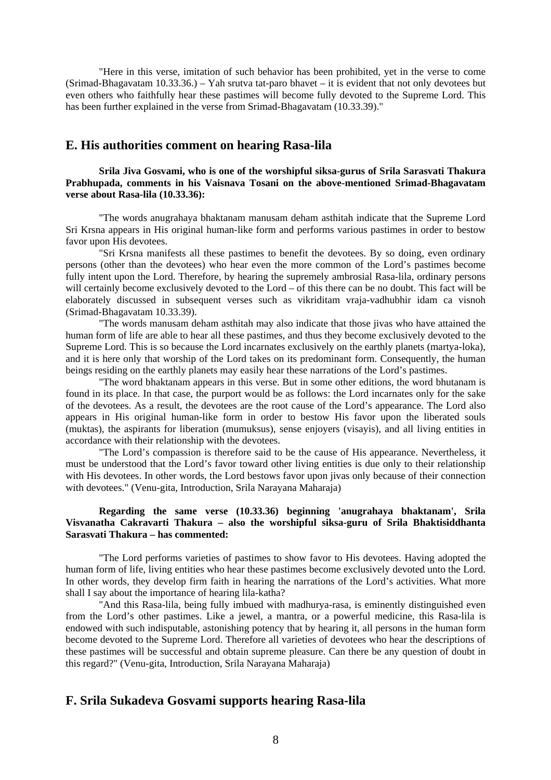"Here in this verse, imitation of such behavior has been prohibited, yet in the verse to come (Srimad-Bhagavatam 10.33.36.) – Yah srutva tat-paro bhavet – it is evident that not only devotees but even others who faithfully hear these pastimes will become fully devoted to the Supreme Lord. This has been further explained in the verse from Srimad-Bhagavatam (10.33.39)."

## **E. His authorities comment on hearing Rasa-lila**

**Srila Jiva Gosvami, who is one of the worshipful siksa-gurus of Srila Sarasvati Thakura Prabhupada, comments in his Vaisnava Tosani on the above-mentioned Srimad-Bhagavatam verse about Rasa-lila (10.33.36):** 

"The words anugrahaya bhaktanam manusam deham asthitah indicate that the Supreme Lord Sri Krsna appears in His original human-like form and performs various pastimes in order to bestow favor upon His devotees.

"Sri Krsna manifests all these pastimes to benefit the devotees. By so doing, even ordinary persons (other than the devotees) who hear even the more common of the Lord's pastimes become fully intent upon the Lord. Therefore, by hearing the supremely ambrosial Rasa-lila, ordinary persons will certainly become exclusively devoted to the Lord – of this there can be no doubt. This fact will be elaborately discussed in subsequent verses such as vikriditam vraja-vadhubhir idam ca visnoh (Srimad-Bhagavatam 10.33.39).

"The words manusam deham asthitah may also indicate that those jivas who have attained the human form of life are able to hear all these pastimes, and thus they become exclusively devoted to the Supreme Lord. This is so because the Lord incarnates exclusively on the earthly planets (martya-loka), and it is here only that worship of the Lord takes on its predominant form. Consequently, the human beings residing on the earthly planets may easily hear these narrations of the Lord's pastimes.

"The word bhaktanam appears in this verse. But in some other editions, the word bhutanam is found in its place. In that case, the purport would be as follows: the Lord incarnates only for the sake of the devotees. As a result, the devotees are the root cause of the Lord's appearance. The Lord also appears in His original human-like form in order to bestow His favor upon the liberated souls (muktas), the aspirants for liberation (mumuksus), sense enjoyers (visayis), and all living entities in accordance with their relationship with the devotees.

"The Lord's compassion is therefore said to be the cause of His appearance. Nevertheless, it must be understood that the Lord's favor toward other living entities is due only to their relationship with His devotees. In other words, the Lord bestows favor upon jivas only because of their connection with devotees." (Venu-gita, Introduction, Srila Narayana Maharaja)

### **Regarding the same verse (10.33.36) beginning 'anugrahaya bhaktanam', Srila Visvanatha Cakravarti Thakura – also the worshipful siksa-guru of Srila Bhaktisiddhanta Sarasvati Thakura – has commented:**

"The Lord performs varieties of pastimes to show favor to His devotees. Having adopted the human form of life, living entities who hear these pastimes become exclusively devoted unto the Lord. In other words, they develop firm faith in hearing the narrations of the Lord's activities. What more shall I say about the importance of hearing lila-katha?

"And this Rasa-lila, being fully imbued with madhurya-rasa, is eminently distinguished even from the Lord's other pastimes. Like a jewel, a mantra, or a powerful medicine, this Rasa-lila is endowed with such indisputable, astonishing potency that by hearing it, all persons in the human form become devoted to the Supreme Lord. Therefore all varieties of devotees who hear the descriptions of these pastimes will be successful and obtain supreme pleasure. Can there be any question of doubt in this regard?" (Venu-gita, Introduction, Srila Narayana Maharaja)

# **F. Srila Sukadeva Gosvami supports hearing Rasa-lila**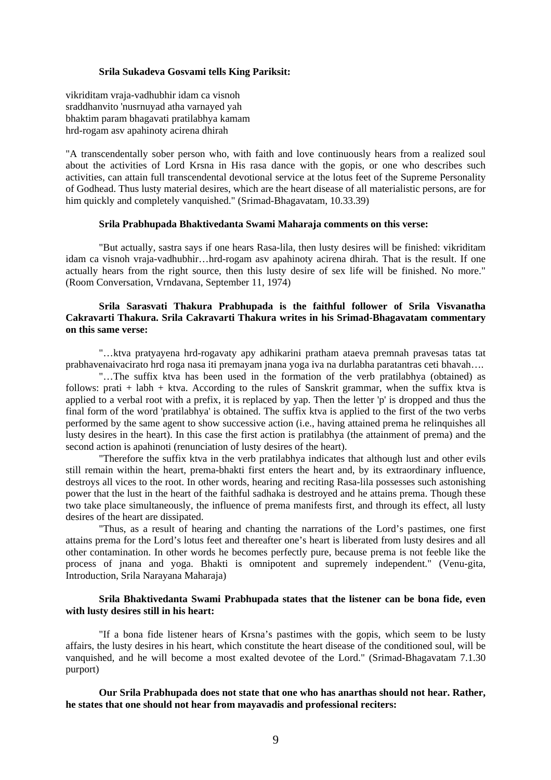#### **Srila Sukadeva Gosvami tells King Pariksit:**

vikriditam vraja-vadhubhir idam ca visnoh sraddhanvito 'nusrnuyad atha varnayed yah bhaktim param bhagavati pratilabhya kamam hrd-rogam asv apahinoty acirena dhirah

"A transcendentally sober person who, with faith and love continuously hears from a realized soul about the activities of Lord Krsna in His rasa dance with the gopis, or one who describes such activities, can attain full transcendental devotional service at the lotus feet of the Supreme Personality of Godhead. Thus lusty material desires, which are the heart disease of all materialistic persons, are for him quickly and completely vanquished." (Srimad-Bhagavatam, 10.33.39)

#### **Srila Prabhupada Bhaktivedanta Swami Maharaja comments on this verse:**

"But actually, sastra says if one hears Rasa-lila, then lusty desires will be finished: vikriditam idam ca visnoh vraja-vadhubhir…hrd-rogam asv apahinoty acirena dhirah. That is the result. If one actually hears from the right source, then this lusty desire of sex life will be finished. No more." (Room Conversation, Vrndavana, September 11, 1974)

#### **Srila Sarasvati Thakura Prabhupada is the faithful follower of Srila Visvanatha Cakravarti Thakura. Srila Cakravarti Thakura writes in his Srimad-Bhagavatam commentary on this same verse:**

"…ktva pratyayena hrd-rogavaty apy adhikarini pratham ataeva premnah pravesas tatas tat prabhavenaivacirato hrd roga nasa iti premayam jnana yoga iva na durlabha paratantras ceti bhavah….

"…The suffix ktva has been used in the formation of the verb pratilabhya (obtained) as follows: prati + labh + ktva. According to the rules of Sanskrit grammar, when the suffix ktva is applied to a verbal root with a prefix, it is replaced by yap. Then the letter 'p' is dropped and thus the final form of the word 'pratilabhya' is obtained. The suffix ktva is applied to the first of the two verbs performed by the same agent to show successive action (i.e., having attained prema he relinquishes all lusty desires in the heart). In this case the first action is pratilabhya (the attainment of prema) and the second action is apahinoti (renunciation of lusty desires of the heart).

"Therefore the suffix ktva in the verb pratilabhya indicates that although lust and other evils still remain within the heart, prema-bhakti first enters the heart and, by its extraordinary influence, destroys all vices to the root. In other words, hearing and reciting Rasa-lila possesses such astonishing power that the lust in the heart of the faithful sadhaka is destroyed and he attains prema. Though these two take place simultaneously, the influence of prema manifests first, and through its effect, all lusty desires of the heart are dissipated.

"Thus, as a result of hearing and chanting the narrations of the Lord's pastimes, one first attains prema for the Lord's lotus feet and thereafter one's heart is liberated from lusty desires and all other contamination. In other words he becomes perfectly pure, because prema is not feeble like the process of jnana and yoga. Bhakti is omnipotent and supremely independent." (Venu-gita, Introduction, Srila Narayana Maharaja)

### **Srila Bhaktivedanta Swami Prabhupada states that the listener can be bona fide, even with lusty desires still in his heart:**

"If a bona fide listener hears of Krsna's pastimes with the gopis, which seem to be lusty affairs, the lusty desires in his heart, which constitute the heart disease of the conditioned soul, will be vanquished, and he will become a most exalted devotee of the Lord." (Srimad-Bhagavatam 7.1.30 purport)

**Our Srila Prabhupada does not state that one who has anarthas should not hear. Rather, he states that one should not hear from mayavadis and professional reciters:**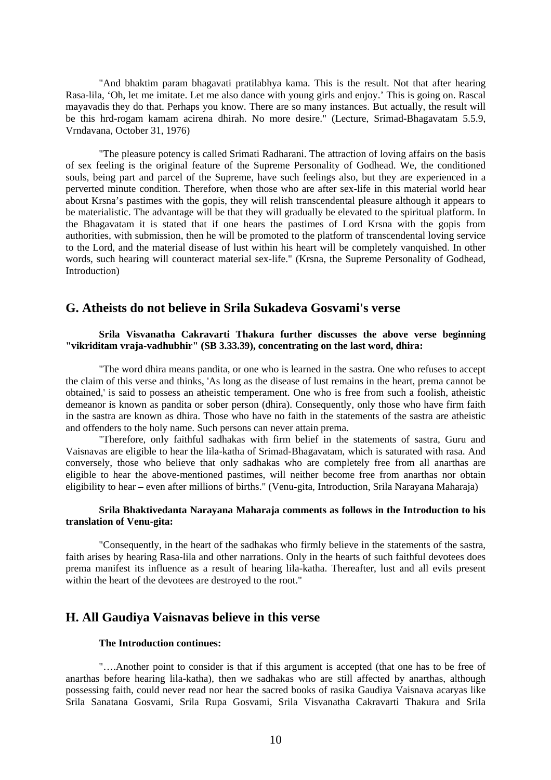"And bhaktim param bhagavati pratilabhya kama. This is the result. Not that after hearing Rasa-lila, 'Oh, let me imitate. Let me also dance with young girls and enjoy.' This is going on. Rascal mayavadis they do that. Perhaps you know. There are so many instances. But actually, the result will be this hrd-rogam kamam acirena dhirah. No more desire." (Lecture, Srimad-Bhagavatam 5.5.9, Vrndavana, October 31, 1976)

"The pleasure potency is called Srimati Radharani. The attraction of loving affairs on the basis of sex feeling is the original feature of the Supreme Personality of Godhead. We, the conditioned souls, being part and parcel of the Supreme, have such feelings also, but they are experienced in a perverted minute condition. Therefore, when those who are after sex-life in this material world hear about Krsna's pastimes with the gopis, they will relish transcendental pleasure although it appears to be materialistic. The advantage will be that they will gradually be elevated to the spiritual platform. In the Bhagavatam it is stated that if one hears the pastimes of Lord Krsna with the gopis from authorities, with submission, then he will be promoted to the platform of transcendental loving service to the Lord, and the material disease of lust within his heart will be completely vanquished. In other words, such hearing will counteract material sex-life." (Krsna, the Supreme Personality of Godhead, Introduction)

## **G. Atheists do not believe in Srila Sukadeva Gosvami's verse**

**Srila Visvanatha Cakravarti Thakura further discusses the above verse beginning "vikriditam vraja-vadhubhir" (SB 3.33.39), concentrating on the last word, dhira:** 

"The word dhira means pandita, or one who is learned in the sastra. One who refuses to accept the claim of this verse and thinks, 'As long as the disease of lust remains in the heart, prema cannot be obtained,' is said to possess an atheistic temperament. One who is free from such a foolish, atheistic demeanor is known as pandita or sober person (dhira). Consequently, only those who have firm faith in the sastra are known as dhira. Those who have no faith in the statements of the sastra are atheistic and offenders to the holy name. Such persons can never attain prema.

"Therefore, only faithful sadhakas with firm belief in the statements of sastra, Guru and Vaisnavas are eligible to hear the lila-katha of Srimad-Bhagavatam, which is saturated with rasa. And conversely, those who believe that only sadhakas who are completely free from all anarthas are eligible to hear the above-mentioned pastimes, will neither become free from anarthas nor obtain eligibility to hear – even after millions of births." (Venu-gita, Introduction, Srila Narayana Maharaja)

#### **Srila Bhaktivedanta Narayana Maharaja comments as follows in the Introduction to his translation of Venu-gita:**

"Consequently, in the heart of the sadhakas who firmly believe in the statements of the sastra, faith arises by hearing Rasa-lila and other narrations. Only in the hearts of such faithful devotees does prema manifest its influence as a result of hearing lila-katha. Thereafter, lust and all evils present within the heart of the devotees are destroyed to the root."

# **H. All Gaudiya Vaisnavas believe in this verse**

## **The Introduction continues:**

"….Another point to consider is that if this argument is accepted (that one has to be free of anarthas before hearing lila-katha), then we sadhakas who are still affected by anarthas, although possessing faith, could never read nor hear the sacred books of rasika Gaudiya Vaisnava acaryas like Srila Sanatana Gosvami, Srila Rupa Gosvami, Srila Visvanatha Cakravarti Thakura and Srila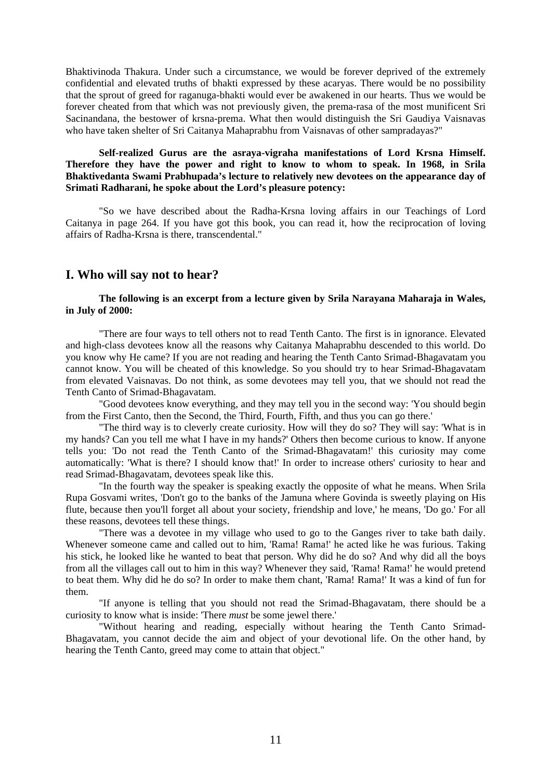Bhaktivinoda Thakura. Under such a circumstance, we would be forever deprived of the extremely confidential and elevated truths of bhakti expressed by these acaryas. There would be no possibility that the sprout of greed for raganuga-bhakti would ever be awakened in our hearts. Thus we would be forever cheated from that which was not previously given, the prema-rasa of the most munificent Sri Sacinandana, the bestower of krsna-prema. What then would distinguish the Sri Gaudiya Vaisnavas who have taken shelter of Sri Caitanya Mahaprabhu from Vaisnavas of other sampradayas?"

### **Self-realized Gurus are the asraya-vigraha manifestations of Lord Krsna Himself. Therefore they have the power and right to know to whom to speak. In 1968, in Srila Bhaktivedanta Swami Prabhupada's lecture to relatively new devotees on the appearance day of Srimati Radharani, he spoke about the Lord's pleasure potency:**

"So we have described about the Radha-Krsna loving affairs in our Teachings of Lord Caitanya in page 264. If you have got this book, you can read it, how the reciprocation of loving affairs of Radha-Krsna is there, transcendental."

## **I. Who will say not to hear?**

**The following is an excerpt from a lecture given by Srila Narayana Maharaja in Wales, in July of 2000:** 

"There are four ways to tell others not to read Tenth Canto. The first is in ignorance. Elevated and high-class devotees know all the reasons why Caitanya Mahaprabhu descended to this world. Do you know why He came? If you are not reading and hearing the Tenth Canto Srimad-Bhagavatam you cannot know. You will be cheated of this knowledge. So you should try to hear Srimad-Bhagavatam from elevated Vaisnavas. Do not think, as some devotees may tell you, that we should not read the Tenth Canto of Srimad-Bhagavatam.

"Good devotees know everything, and they may tell you in the second way: 'You should begin from the First Canto, then the Second, the Third, Fourth, Fifth, and thus you can go there.'

"The third way is to cleverly create curiosity. How will they do so? They will say: 'What is in my hands? Can you tell me what I have in my hands?' Others then become curious to know. If anyone tells you: 'Do not read the Tenth Canto of the Srimad-Bhagavatam!' this curiosity may come automatically: 'What is there? I should know that!' In order to increase others' curiosity to hear and read Srimad-Bhagavatam, devotees speak like this.

"In the fourth way the speaker is speaking exactly the opposite of what he means. When Srila Rupa Gosvami writes, 'Don't go to the banks of the Jamuna where Govinda is sweetly playing on His flute, because then you'll forget all about your society, friendship and love,' he means, 'Do go.' For all these reasons, devotees tell these things.

"There was a devotee in my village who used to go to the Ganges river to take bath daily. Whenever someone came and called out to him, 'Rama! Rama!' he acted like he was furious. Taking his stick, he looked like he wanted to beat that person. Why did he do so? And why did all the boys from all the villages call out to him in this way? Whenever they said, 'Rama! Rama!' he would pretend to beat them. Why did he do so? In order to make them chant, 'Rama! Rama!' It was a kind of fun for them.

"If anyone is telling that you should not read the Srimad-Bhagavatam, there should be a curiosity to know what is inside: 'There *must* be some jewel there.'

"Without hearing and reading, especially without hearing the Tenth Canto Srimad-Bhagavatam, you cannot decide the aim and object of your devotional life. On the other hand, by hearing the Tenth Canto, greed may come to attain that object."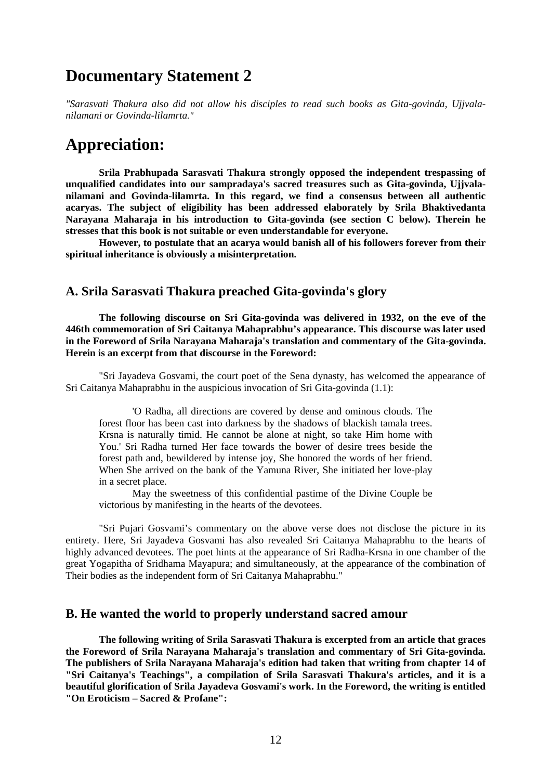# **Documentary Statement 2**

*"Sarasvati Thakura also did not allow his disciples to read such books as Gita-govinda, Ujjvalanilamani or Govinda-lilamrta."* 

# **Appreciation:**

**Srila Prabhupada Sarasvati Thakura strongly opposed the independent trespassing of unqualified candidates into our sampradaya's sacred treasures such as Gita-govinda, Ujjvalanilamani and Govinda-lilamrta. In this regard, we find a consensus between all authentic acaryas. The subject of eligibility has been addressed elaborately by Srila Bhaktivedanta Narayana Maharaja in his introduction to Gita-govinda (see section C below). Therein he stresses that this book is not suitable or even understandable for everyone.** 

**However, to postulate that an acarya would banish all of his followers forever from their spiritual inheritance is obviously a misinterpretation.**

## **A. Srila Sarasvati Thakura preached Gita-govinda's glory**

**The following discourse on Sri Gita-govinda was delivered in 1932, on the eve of the 446th commemoration of Sri Caitanya Mahaprabhu's appearance. This discourse was later used in the Foreword of Srila Narayana Maharaja's translation and commentary of the Gita-govinda. Herein is an excerpt from that discourse in the Foreword:** 

"Sri Jayadeva Gosvami, the court poet of the Sena dynasty, has welcomed the appearance of Sri Caitanya Mahaprabhu in the auspicious invocation of Sri Gita-govinda (1.1):

'O Radha, all directions are covered by dense and ominous clouds. The forest floor has been cast into darkness by the shadows of blackish tamala trees. Krsna is naturally timid. He cannot be alone at night, so take Him home with You.' Sri Radha turned Her face towards the bower of desire trees beside the forest path and, bewildered by intense joy, She honored the words of her friend. When She arrived on the bank of the Yamuna River, She initiated her love-play in a secret place.

May the sweetness of this confidential pastime of the Divine Couple be victorious by manifesting in the hearts of the devotees.

"Sri Pujari Gosvami's commentary on the above verse does not disclose the picture in its entirety. Here, Sri Jayadeva Gosvami has also revealed Sri Caitanya Mahaprabhu to the hearts of highly advanced devotees. The poet hints at the appearance of Sri Radha-Krsna in one chamber of the great Yogapitha of Sridhama Mayapura; and simultaneously, at the appearance of the combination of Their bodies as the independent form of Sri Caitanya Mahaprabhu."

## **B. He wanted the world to properly understand sacred amour**

**The following writing of Srila Sarasvati Thakura is excerpted from an article that graces the Foreword of Srila Narayana Maharaja's translation and commentary of Sri Gita-govinda. The publishers of Srila Narayana Maharaja's edition had taken that writing from chapter 14 of "Sri Caitanya's Teachings", a compilation of Srila Sarasvati Thakura's articles, and it is a beautiful glorification of Srila Jayadeva Gosvami's work. In the Foreword, the writing is entitled "On Eroticism – Sacred & Profane":**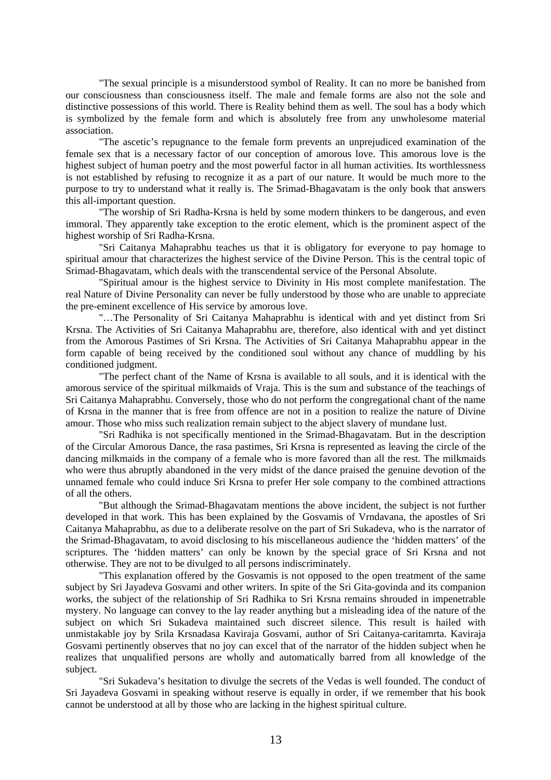"The sexual principle is a misunderstood symbol of Reality. It can no more be banished from our consciousness than consciousness itself. The male and female forms are also not the sole and distinctive possessions of this world. There is Reality behind them as well. The soul has a body which is symbolized by the female form and which is absolutely free from any unwholesome material association.

"The ascetic's repugnance to the female form prevents an unprejudiced examination of the female sex that is a necessary factor of our conception of amorous love. This amorous love is the highest subject of human poetry and the most powerful factor in all human activities. Its worthlessness is not established by refusing to recognize it as a part of our nature. It would be much more to the purpose to try to understand what it really is. The Srimad-Bhagavatam is the only book that answers this all-important question.

"The worship of Sri Radha-Krsna is held by some modern thinkers to be dangerous, and even immoral. They apparently take exception to the erotic element, which is the prominent aspect of the highest worship of Sri Radha-Krsna.

"Sri Caitanya Mahaprabhu teaches us that it is obligatory for everyone to pay homage to spiritual amour that characterizes the highest service of the Divine Person. This is the central topic of Srimad-Bhagavatam, which deals with the transcendental service of the Personal Absolute.

"Spiritual amour is the highest service to Divinity in His most complete manifestation. The real Nature of Divine Personality can never be fully understood by those who are unable to appreciate the pre-eminent excellence of His service by amorous love.

"…The Personality of Sri Caitanya Mahaprabhu is identical with and yet distinct from Sri Krsna. The Activities of Sri Caitanya Mahaprabhu are, therefore, also identical with and yet distinct from the Amorous Pastimes of Sri Krsna. The Activities of Sri Caitanya Mahaprabhu appear in the form capable of being received by the conditioned soul without any chance of muddling by his conditioned judgment.

"The perfect chant of the Name of Krsna is available to all souls, and it is identical with the amorous service of the spiritual milkmaids of Vraja. This is the sum and substance of the teachings of Sri Caitanya Mahaprabhu. Conversely, those who do not perform the congregational chant of the name of Krsna in the manner that is free from offence are not in a position to realize the nature of Divine amour. Those who miss such realization remain subject to the abject slavery of mundane lust.

"Sri Radhika is not specifically mentioned in the Srimad-Bhagavatam. But in the description of the Circular Amorous Dance, the rasa pastimes, Sri Krsna is represented as leaving the circle of the dancing milkmaids in the company of a female who is more favored than all the rest. The milkmaids who were thus abruptly abandoned in the very midst of the dance praised the genuine devotion of the unnamed female who could induce Sri Krsna to prefer Her sole company to the combined attractions of all the others.

"But although the Srimad-Bhagavatam mentions the above incident, the subject is not further developed in that work. This has been explained by the Gosvamis of Vrndavana, the apostles of Sri Caitanya Mahaprabhu, as due to a deliberate resolve on the part of Sri Sukadeva, who is the narrator of the Srimad-Bhagavatam, to avoid disclosing to his miscellaneous audience the 'hidden matters' of the scriptures. The 'hidden matters' can only be known by the special grace of Sri Krsna and not otherwise. They are not to be divulged to all persons indiscriminately.

"This explanation offered by the Gosvamis is not opposed to the open treatment of the same subject by Sri Jayadeva Gosvami and other writers. In spite of the Sri Gita-govinda and its companion works, the subject of the relationship of Sri Radhika to Sri Krsna remains shrouded in impenetrable mystery. No language can convey to the lay reader anything but a misleading idea of the nature of the subject on which Sri Sukadeva maintained such discreet silence. This result is hailed with unmistakable joy by Srila Krsnadasa Kaviraja Gosvami, author of Sri Caitanya-caritamrta. Kaviraja Gosvami pertinently observes that no joy can excel that of the narrator of the hidden subject when he realizes that unqualified persons are wholly and automatically barred from all knowledge of the subject.

"Sri Sukadeva's hesitation to divulge the secrets of the Vedas is well founded. The conduct of Sri Jayadeva Gosvami in speaking without reserve is equally in order, if we remember that his book cannot be understood at all by those who are lacking in the highest spiritual culture.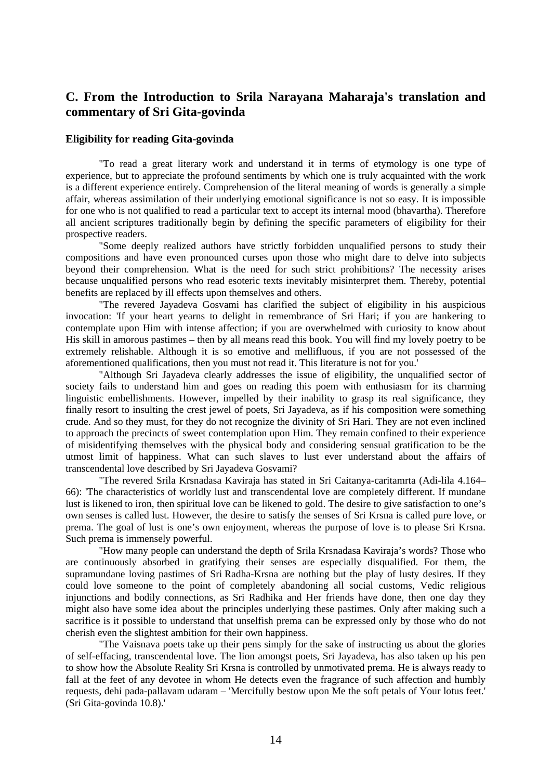# **C. From the Introduction to Srila Narayana Maharaja's translation and commentary of Sri Gita-govinda**

### **Eligibility for reading Gita-govinda**

"To read a great literary work and understand it in terms of etymology is one type of experience, but to appreciate the profound sentiments by which one is truly acquainted with the work is a different experience entirely. Comprehension of the literal meaning of words is generally a simple affair, whereas assimilation of their underlying emotional significance is not so easy. It is impossible for one who is not qualified to read a particular text to accept its internal mood (bhavartha). Therefore all ancient scriptures traditionally begin by defining the specific parameters of eligibility for their prospective readers.

"Some deeply realized authors have strictly forbidden unqualified persons to study their compositions and have even pronounced curses upon those who might dare to delve into subjects beyond their comprehension. What is the need for such strict prohibitions? The necessity arises because unqualified persons who read esoteric texts inevitably misinterpret them. Thereby, potential benefits are replaced by ill effects upon themselves and others.

"The revered Jayadeva Gosvami has clarified the subject of eligibility in his auspicious invocation: 'If your heart yearns to delight in remembrance of Sri Hari; if you are hankering to contemplate upon Him with intense affection; if you are overwhelmed with curiosity to know about His skill in amorous pastimes – then by all means read this book. You will find my lovely poetry to be extremely relishable. Although it is so emotive and mellifluous, if you are not possessed of the aforementioned qualifications, then you must not read it. This literature is not for you.'

"Although Sri Jayadeva clearly addresses the issue of eligibility, the unqualified sector of society fails to understand him and goes on reading this poem with enthusiasm for its charming linguistic embellishments. However, impelled by their inability to grasp its real significance, they finally resort to insulting the crest jewel of poets, Sri Jayadeva, as if his composition were something crude. And so they must, for they do not recognize the divinity of Sri Hari. They are not even inclined to approach the precincts of sweet contemplation upon Him. They remain confined to their experience of misidentifying themselves with the physical body and considering sensual gratification to be the utmost limit of happiness. What can such slaves to lust ever understand about the affairs of transcendental love described by Sri Jayadeva Gosvami?

"The revered Srila Krsnadasa Kaviraja has stated in Sri Caitanya-caritamrta (Adi-lila 4.164– 66): 'The characteristics of worldly lust and transcendental love are completely different. If mundane lust is likened to iron, then spiritual love can be likened to gold. The desire to give satisfaction to one's own senses is called lust. However, the desire to satisfy the senses of Sri Krsna is called pure love, or prema. The goal of lust is one's own enjoyment, whereas the purpose of love is to please Sri Krsna. Such prema is immensely powerful.

"How many people can understand the depth of Srila Krsnadasa Kaviraja's words? Those who are continuously absorbed in gratifying their senses are especially disqualified. For them, the supramundane loving pastimes of Sri Radha-Krsna are nothing but the play of lusty desires. If they could love someone to the point of completely abandoning all social customs, Vedic religious injunctions and bodily connections, as Sri Radhika and Her friends have done, then one day they might also have some idea about the principles underlying these pastimes. Only after making such a sacrifice is it possible to understand that unselfish prema can be expressed only by those who do not cherish even the slightest ambition for their own happiness.

"The Vaisnava poets take up their pens simply for the sake of instructing us about the glories of self-effacing, transcendental love. The lion amongst poets, Sri Jayadeva, has also taken up his pen to show how the Absolute Reality Sri Krsna is controlled by unmotivated prema. He is always ready to fall at the feet of any devotee in whom He detects even the fragrance of such affection and humbly requests, dehi pada-pallavam udaram – 'Mercifully bestow upon Me the soft petals of Your lotus feet.' (Sri Gita-govinda 10.8).'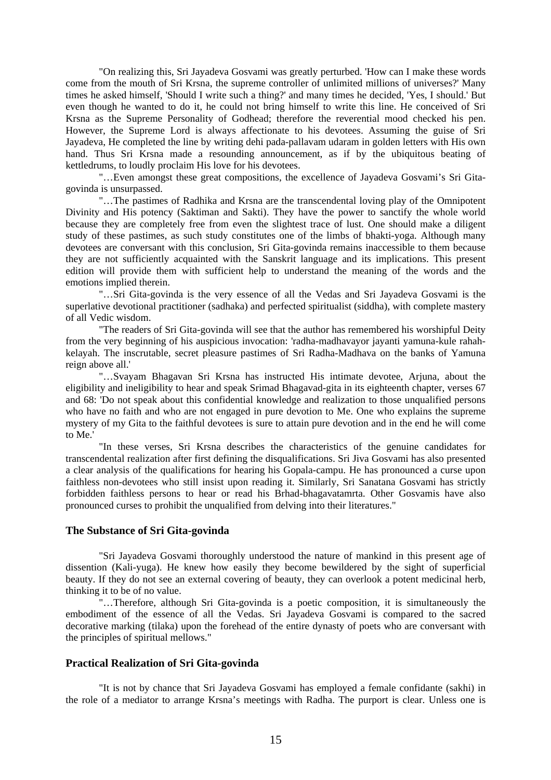"On realizing this, Sri Jayadeva Gosvami was greatly perturbed. 'How can I make these words come from the mouth of Sri Krsna, the supreme controller of unlimited millions of universes?' Many times he asked himself, 'Should I write such a thing?' and many times he decided, 'Yes, I should.' But even though he wanted to do it, he could not bring himself to write this line. He conceived of Sri Krsna as the Supreme Personality of Godhead; therefore the reverential mood checked his pen. However, the Supreme Lord is always affectionate to his devotees. Assuming the guise of Sri Jayadeva, He completed the line by writing dehi pada-pallavam udaram in golden letters with His own hand. Thus Sri Krsna made a resounding announcement, as if by the ubiquitous beating of kettledrums, to loudly proclaim His love for his devotees.

"…Even amongst these great compositions, the excellence of Jayadeva Gosvami's Sri Gitagovinda is unsurpassed.

"…The pastimes of Radhika and Krsna are the transcendental loving play of the Omnipotent Divinity and His potency (Saktiman and Sakti). They have the power to sanctify the whole world because they are completely free from even the slightest trace of lust. One should make a diligent study of these pastimes, as such study constitutes one of the limbs of bhakti-yoga. Although many devotees are conversant with this conclusion, Sri Gita-govinda remains inaccessible to them because they are not sufficiently acquainted with the Sanskrit language and its implications. This present edition will provide them with sufficient help to understand the meaning of the words and the emotions implied therein.

"…Sri Gita-govinda is the very essence of all the Vedas and Sri Jayadeva Gosvami is the superlative devotional practitioner (sadhaka) and perfected spiritualist (siddha), with complete mastery of all Vedic wisdom.

"The readers of Sri Gita-govinda will see that the author has remembered his worshipful Deity from the very beginning of his auspicious invocation: 'radha-madhavayor jayanti yamuna-kule rahahkelayah. The inscrutable, secret pleasure pastimes of Sri Radha-Madhava on the banks of Yamuna reign above all.'

"…Svayam Bhagavan Sri Krsna has instructed His intimate devotee, Arjuna, about the eligibility and ineligibility to hear and speak Srimad Bhagavad-gita in its eighteenth chapter, verses 67 and 68: 'Do not speak about this confidential knowledge and realization to those unqualified persons who have no faith and who are not engaged in pure devotion to Me. One who explains the supreme mystery of my Gita to the faithful devotees is sure to attain pure devotion and in the end he will come to Me.'

"In these verses, Sri Krsna describes the characteristics of the genuine candidates for transcendental realization after first defining the disqualifications. Sri Jiva Gosvami has also presented a clear analysis of the qualifications for hearing his Gopala-campu. He has pronounced a curse upon faithless non-devotees who still insist upon reading it. Similarly, Sri Sanatana Gosvami has strictly forbidden faithless persons to hear or read his Brhad-bhagavatamrta. Other Gosvamis have also pronounced curses to prohibit the unqualified from delving into their literatures."

#### **The Substance of Sri Gita-govinda**

"Sri Jayadeva Gosvami thoroughly understood the nature of mankind in this present age of dissention (Kali-yuga). He knew how easily they become bewildered by the sight of superficial beauty. If they do not see an external covering of beauty, they can overlook a potent medicinal herb, thinking it to be of no value.

"…Therefore, although Sri Gita-govinda is a poetic composition, it is simultaneously the embodiment of the essence of all the Vedas. Sri Jayadeva Gosvami is compared to the sacred decorative marking (tilaka) upon the forehead of the entire dynasty of poets who are conversant with the principles of spiritual mellows."

### **Practical Realization of Sri Gita-govinda**

"It is not by chance that Sri Jayadeva Gosvami has employed a female confidante (sakhi) in the role of a mediator to arrange Krsna's meetings with Radha. The purport is clear. Unless one is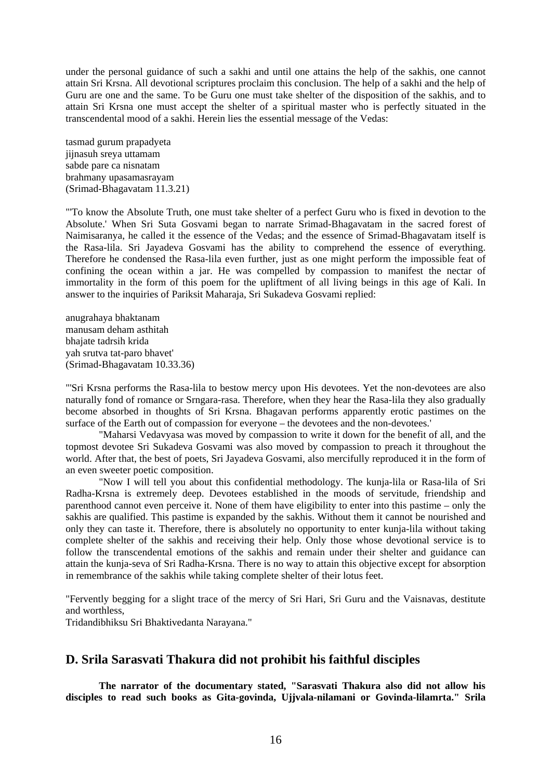under the personal guidance of such a sakhi and until one attains the help of the sakhis, one cannot attain Sri Krsna. All devotional scriptures proclaim this conclusion. The help of a sakhi and the help of Guru are one and the same. To be Guru one must take shelter of the disposition of the sakhis, and to attain Sri Krsna one must accept the shelter of a spiritual master who is perfectly situated in the transcendental mood of a sakhi. Herein lies the essential message of the Vedas:

tasmad gurum prapadyeta jijnasuh sreya uttamam sabde pare ca nisnatam brahmany upasamasrayam (Srimad-Bhagavatam 11.3.21)

"'To know the Absolute Truth, one must take shelter of a perfect Guru who is fixed in devotion to the Absolute.' When Sri Suta Gosvami began to narrate Srimad-Bhagavatam in the sacred forest of Naimisaranya, he called it the essence of the Vedas; and the essence of Srimad-Bhagavatam itself is the Rasa-lila. Sri Jayadeva Gosvami has the ability to comprehend the essence of everything. Therefore he condensed the Rasa-lila even further, just as one might perform the impossible feat of confining the ocean within a jar. He was compelled by compassion to manifest the nectar of immortality in the form of this poem for the upliftment of all living beings in this age of Kali. In answer to the inquiries of Pariksit Maharaja, Sri Sukadeva Gosvami replied:

anugrahaya bhaktanam manusam deham asthitah bhajate tadrsih krida yah srutva tat-paro bhavet' (Srimad-Bhagavatam 10.33.36)

"'Sri Krsna performs the Rasa-lila to bestow mercy upon His devotees. Yet the non-devotees are also naturally fond of romance or Srngara-rasa. Therefore, when they hear the Rasa-lila they also gradually become absorbed in thoughts of Sri Krsna. Bhagavan performs apparently erotic pastimes on the surface of the Earth out of compassion for everyone – the devotees and the non-devotees.'

"Maharsi Vedavyasa was moved by compassion to write it down for the benefit of all, and the topmost devotee Sri Sukadeva Gosvami was also moved by compassion to preach it throughout the world. After that, the best of poets, Sri Jayadeva Gosvami, also mercifully reproduced it in the form of an even sweeter poetic composition.

"Now I will tell you about this confidential methodology. The kunja-lila or Rasa-lila of Sri Radha-Krsna is extremely deep. Devotees established in the moods of servitude, friendship and parenthood cannot even perceive it. None of them have eligibility to enter into this pastime – only the sakhis are qualified. This pastime is expanded by the sakhis. Without them it cannot be nourished and only they can taste it. Therefore, there is absolutely no opportunity to enter kunja-lila without taking complete shelter of the sakhis and receiving their help. Only those whose devotional service is to follow the transcendental emotions of the sakhis and remain under their shelter and guidance can attain the kunja-seva of Sri Radha-Krsna. There is no way to attain this objective except for absorption in remembrance of the sakhis while taking complete shelter of their lotus feet.

"Fervently begging for a slight trace of the mercy of Sri Hari, Sri Guru and the Vaisnavas, destitute and worthless,

Tridandibhiksu Sri Bhaktivedanta Narayana."

# **D. Srila Sarasvati Thakura did not prohibit his faithful disciples**

**The narrator of the documentary stated, "Sarasvati Thakura also did not allow his disciples to read such books as Gita-govinda, Ujjvala-nilamani or Govinda-lilamrta." Srila**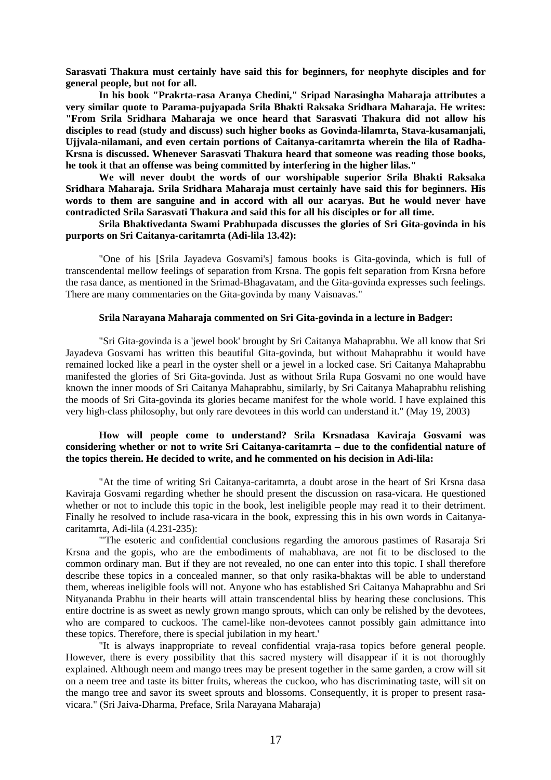**Sarasvati Thakura must certainly have said this for beginners, for neophyte disciples and for general people, but not for all.** 

**In his book "Prakrta-rasa Aranya Chedini," Sripad Narasingha Maharaja attributes a very similar quote to Parama-pujyapada Srila Bhakti Raksaka Sridhara Maharaja. He writes: "From Srila Sridhara Maharaja we once heard that Sarasvati Thakura did not allow his disciples to read (study and discuss) such higher books as Govinda-lilamrta, Stava-kusamanjali, Ujjvala-nilamani, and even certain portions of Caitanya-caritamrta wherein the lila of Radha-Krsna is discussed. Whenever Sarasvati Thakura heard that someone was reading those books, he took it that an offense was being committed by interfering in the higher lilas."** 

**We will never doubt the words of our worshipable superior Srila Bhakti Raksaka Sridhara Maharaja. Srila Sridhara Maharaja must certainly have said this for beginners. His words to them are sanguine and in accord with all our acaryas. But he would never have contradicted Srila Sarasvati Thakura and said this for all his disciples or for all time.** 

**Srila Bhaktivedanta Swami Prabhupada discusses the glories of Sri Gita-govinda in his purports on Sri Caitanya-caritamrta (Adi-lila 13.42):** 

"One of his [Srila Jayadeva Gosvami's] famous books is Gita-govinda, which is full of transcendental mellow feelings of separation from Krsna. The gopis felt separation from Krsna before the rasa dance, as mentioned in the Srimad-Bhagavatam, and the Gita-govinda expresses such feelings. There are many commentaries on the Gita-govinda by many Vaisnavas."

#### **Srila Narayana Maharaja commented on Sri Gita-govinda in a lecture in Badger:**

"Sri Gita-govinda is a 'jewel book' brought by Sri Caitanya Mahaprabhu. We all know that Sri Jayadeva Gosvami has written this beautiful Gita-govinda, but without Mahaprabhu it would have remained locked like a pearl in the oyster shell or a jewel in a locked case. Sri Caitanya Mahaprabhu manifested the glories of Sri Gita-govinda. Just as without Srila Rupa Gosvami no one would have known the inner moods of Sri Caitanya Mahaprabhu, similarly, by Sri Caitanya Mahaprabhu relishing the moods of Sri Gita-govinda its glories became manifest for the whole world. I have explained this very high-class philosophy, but only rare devotees in this world can understand it." (May 19, 2003)

### **How will people come to understand? Srila Krsnadasa Kaviraja Gosvami was considering whether or not to write Sri Caitanya-caritamrta – due to the confidential nature of the topics therein. He decided to write, and he commented on his decision in Adi-lila:**

"At the time of writing Sri Caitanya-caritamrta, a doubt arose in the heart of Sri Krsna dasa Kaviraja Gosvami regarding whether he should present the discussion on rasa-vicara. He questioned whether or not to include this topic in the book, lest ineligible people may read it to their detriment. Finally he resolved to include rasa-vicara in the book, expressing this in his own words in Caitanyacaritamrta, Adi-lila (4.231-235):

"'The esoteric and confidential conclusions regarding the amorous pastimes of Rasaraja Sri Krsna and the gopis, who are the embodiments of mahabhava, are not fit to be disclosed to the common ordinary man. But if they are not revealed, no one can enter into this topic. I shall therefore describe these topics in a concealed manner, so that only rasika-bhaktas will be able to understand them, whereas ineligible fools will not. Anyone who has established Sri Caitanya Mahaprabhu and Sri Nityananda Prabhu in their hearts will attain transcendental bliss by hearing these conclusions. This entire doctrine is as sweet as newly grown mango sprouts, which can only be relished by the devotees, who are compared to cuckoos. The camel-like non-devotees cannot possibly gain admittance into these topics. Therefore, there is special jubilation in my heart.'

"It is always inappropriate to reveal confidential vraja-rasa topics before general people. However, there is every possibility that this sacred mystery will disappear if it is not thoroughly explained. Although neem and mango trees may be present together in the same garden, a crow will sit on a neem tree and taste its bitter fruits, whereas the cuckoo, who has discriminating taste, will sit on the mango tree and savor its sweet sprouts and blossoms. Consequently, it is proper to present rasavicara." (Sri Jaiva-Dharma, Preface, Srila Narayana Maharaja)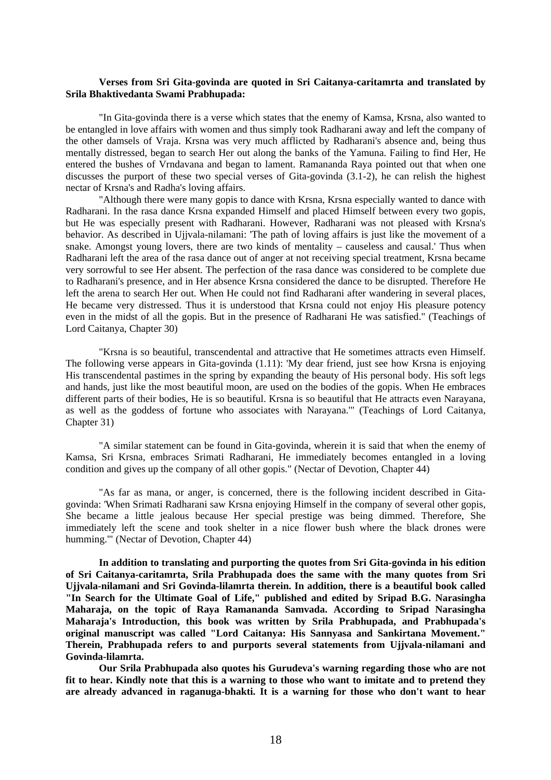#### **Verses from Sri Gita-govinda are quoted in Sri Caitanya-caritamrta and translated by Srila Bhaktivedanta Swami Prabhupada:**

"In Gita-govinda there is a verse which states that the enemy of Kamsa, Krsna, also wanted to be entangled in love affairs with women and thus simply took Radharani away and left the company of the other damsels of Vraja. Krsna was very much afflicted by Radharani's absence and, being thus mentally distressed, began to search Her out along the banks of the Yamuna. Failing to find Her, He entered the bushes of Vrndavana and began to lament. Ramananda Raya pointed out that when one discusses the purport of these two special verses of Gita-govinda (3.1-2), he can relish the highest nectar of Krsna's and Radha's loving affairs.

"Although there were many gopis to dance with Krsna, Krsna especially wanted to dance with Radharani. In the rasa dance Krsna expanded Himself and placed Himself between every two gopis, but He was especially present with Radharani. However, Radharani was not pleased with Krsna's behavior. As described in Ujjvala-nilamani: 'The path of loving affairs is just like the movement of a snake. Amongst young lovers, there are two kinds of mentality – causeless and causal.' Thus when Radharani left the area of the rasa dance out of anger at not receiving special treatment, Krsna became very sorrowful to see Her absent. The perfection of the rasa dance was considered to be complete due to Radharani's presence, and in Her absence Krsna considered the dance to be disrupted. Therefore He left the arena to search Her out. When He could not find Radharani after wandering in several places, He became very distressed. Thus it is understood that Krsna could not enjoy His pleasure potency even in the midst of all the gopis. But in the presence of Radharani He was satisfied." (Teachings of Lord Caitanya, Chapter 30)

"Krsna is so beautiful, transcendental and attractive that He sometimes attracts even Himself. The following verse appears in Gita-govinda (1.11): 'My dear friend, just see how Krsna is enjoying His transcendental pastimes in the spring by expanding the beauty of His personal body. His soft legs and hands, just like the most beautiful moon, are used on the bodies of the gopis. When He embraces different parts of their bodies, He is so beautiful. Krsna is so beautiful that He attracts even Narayana, as well as the goddess of fortune who associates with Narayana.'" (Teachings of Lord Caitanya, Chapter 31)

"A similar statement can be found in Gita-govinda, wherein it is said that when the enemy of Kamsa, Sri Krsna, embraces Srimati Radharani, He immediately becomes entangled in a loving condition and gives up the company of all other gopis." (Nectar of Devotion, Chapter 44)

"As far as mana, or anger, is concerned, there is the following incident described in Gitagovinda: 'When Srimati Radharani saw Krsna enjoying Himself in the company of several other gopis, She became a little jealous because Her special prestige was being dimmed. Therefore, She immediately left the scene and took shelter in a nice flower bush where the black drones were humming.'" (Nectar of Devotion, Chapter 44)

**In addition to translating and purporting the quotes from Sri Gita-govinda in his edition of Sri Caitanya-caritamrta, Srila Prabhupada does the same with the many quotes from Sri Ujjvala-nilamani and Sri Govinda-lilamrta therein. In addition, there is a beautiful book called "In Search for the Ultimate Goal of Life," published and edited by Sripad B.G. Narasingha Maharaja, on the topic of Raya Ramananda Samvada. According to Sripad Narasingha Maharaja's Introduction, this book was written by Srila Prabhupada, and Prabhupada's original manuscript was called "Lord Caitanya: His Sannyasa and Sankirtana Movement." Therein, Prabhupada refers to and purports several statements from Ujjvala-nilamani and Govinda-lilamrta.** 

**Our Srila Prabhupada also quotes his Gurudeva's warning regarding those who are not fit to hear. Kindly note that this is a warning to those who want to imitate and to pretend they are already advanced in raganuga-bhakti. It is a warning for those who don't want to hear**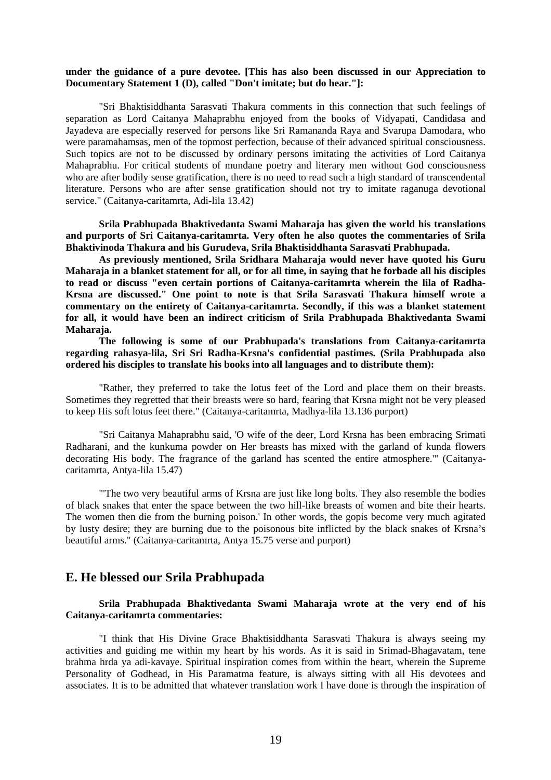#### **under the guidance of a pure devotee. [This has also been discussed in our Appreciation to Documentary Statement 1 (D), called "Don't imitate; but do hear."]:**

"Sri Bhaktisiddhanta Sarasvati Thakura comments in this connection that such feelings of separation as Lord Caitanya Mahaprabhu enjoyed from the books of Vidyapati, Candidasa and Jayadeva are especially reserved for persons like Sri Ramananda Raya and Svarupa Damodara, who were paramahamsas, men of the topmost perfection, because of their advanced spiritual consciousness. Such topics are not to be discussed by ordinary persons imitating the activities of Lord Caitanya Mahaprabhu. For critical students of mundane poetry and literary men without God consciousness who are after bodily sense gratification, there is no need to read such a high standard of transcendental literature. Persons who are after sense gratification should not try to imitate raganuga devotional service." (Caitanya-caritamrta, Adi-lila 13.42)

**Srila Prabhupada Bhaktivedanta Swami Maharaja has given the world his translations and purports of Sri Caitanya-caritamrta. Very often he also quotes the commentaries of Srila Bhaktivinoda Thakura and his Gurudeva, Srila Bhaktisiddhanta Sarasvati Prabhupada.** 

**As previously mentioned, Srila Sridhara Maharaja would never have quoted his Guru Maharaja in a blanket statement for all, or for all time, in saying that he forbade all his disciples to read or discuss "even certain portions of Caitanya-caritamrta wherein the lila of Radha-Krsna are discussed." One point to note is that Srila Sarasvati Thakura himself wrote a commentary on the entirety of Caitanya-caritamrta. Secondly, if this was a blanket statement for all, it would have been an indirect criticism of Srila Prabhupada Bhaktivedanta Swami Maharaja.** 

**The following is some of our Prabhupada's translations from Caitanya-caritamrta regarding rahasya-lila, Sri Sri Radha-Krsna's confidential pastimes. (Srila Prabhupada also ordered his disciples to translate his books into all languages and to distribute them):** 

"Rather, they preferred to take the lotus feet of the Lord and place them on their breasts. Sometimes they regretted that their breasts were so hard, fearing that Krsna might not be very pleased to keep His soft lotus feet there." (Caitanya-caritamrta, Madhya-lila 13.136 purport)

"Sri Caitanya Mahaprabhu said, 'O wife of the deer, Lord Krsna has been embracing Srimati Radharani, and the kunkuma powder on Her breasts has mixed with the garland of kunda flowers decorating His body. The fragrance of the garland has scented the entire atmosphere.'" (Caitanyacaritamrta, Antya-lila 15.47)

"'The two very beautiful arms of Krsna are just like long bolts. They also resemble the bodies of black snakes that enter the space between the two hill-like breasts of women and bite their hearts. The women then die from the burning poison.' In other words, the gopis become very much agitated by lusty desire; they are burning due to the poisonous bite inflicted by the black snakes of Krsna's beautiful arms." (Caitanya-caritamrta, Antya 15.75 verse and purport)

## **E. He blessed our Srila Prabhupada**

## **Srila Prabhupada Bhaktivedanta Swami Maharaja wrote at the very end of his Caitanya-caritamrta commentaries:**

"I think that His Divine Grace Bhaktisiddhanta Sarasvati Thakura is always seeing my activities and guiding me within my heart by his words. As it is said in Srimad-Bhagavatam, tene brahma hrda ya adi-kavaye. Spiritual inspiration comes from within the heart, wherein the Supreme Personality of Godhead, in His Paramatma feature, is always sitting with all His devotees and associates. It is to be admitted that whatever translation work I have done is through the inspiration of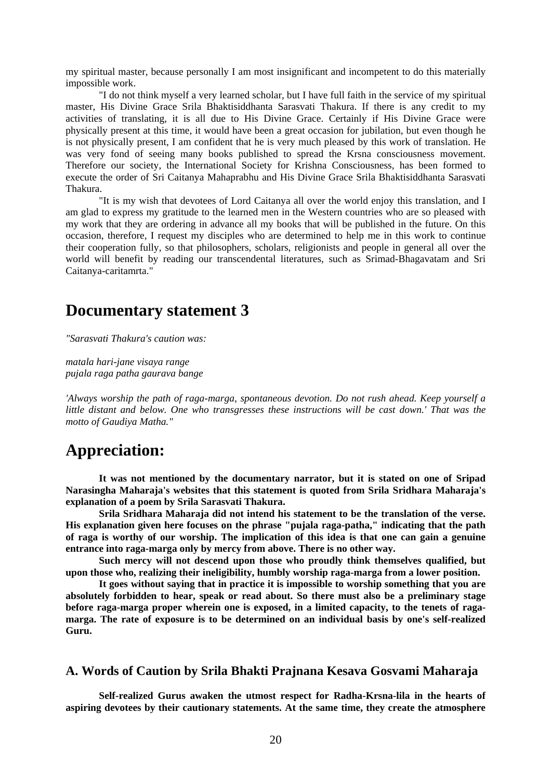my spiritual master, because personally I am most insignificant and incompetent to do this materially impossible work.

"I do not think myself a very learned scholar, but I have full faith in the service of my spiritual master, His Divine Grace Srila Bhaktisiddhanta Sarasvati Thakura. If there is any credit to my activities of translating, it is all due to His Divine Grace. Certainly if His Divine Grace were physically present at this time, it would have been a great occasion for jubilation, but even though he is not physically present, I am confident that he is very much pleased by this work of translation. He was very fond of seeing many books published to spread the Krsna consciousness movement. Therefore our society, the International Society for Krishna Consciousness, has been formed to execute the order of Sri Caitanya Mahaprabhu and His Divine Grace Srila Bhaktisiddhanta Sarasvati Thakura.

"It is my wish that devotees of Lord Caitanya all over the world enjoy this translation, and I am glad to express my gratitude to the learned men in the Western countries who are so pleased with my work that they are ordering in advance all my books that will be published in the future. On this occasion, therefore, I request my disciples who are determined to help me in this work to continue their cooperation fully, so that philosophers, scholars, religionists and people in general all over the world will benefit by reading our transcendental literatures, such as Srimad-Bhagavatam and Sri Caitanya-caritamrta."

# **Documentary statement 3**

*"Sarasvati Thakura's caution was:* 

*matala hari-jane visaya range pujala raga patha gaurava bange* 

*'Always worship the path of raga-marga, spontaneous devotion. Do not rush ahead. Keep yourself a little distant and below. One who transgresses these instructions will be cast down.' That was the motto of Gaudiya Matha."* 

# **Appreciation:**

**It was not mentioned by the documentary narrator, but it is stated on one of Sripad Narasingha Maharaja's websites that this statement is quoted from Srila Sridhara Maharaja's explanation of a poem by Srila Sarasvati Thakura.** 

**Srila Sridhara Maharaja did not intend his statement to be the translation of the verse. His explanation given here focuses on the phrase "pujala raga-patha," indicating that the path of raga is worthy of our worship. The implication of this idea is that one can gain a genuine entrance into raga-marga only by mercy from above. There is no other way.** 

**Such mercy will not descend upon those who proudly think themselves qualified, but upon those who, realizing their ineligibility, humbly worship raga-marga from a lower position.** 

**It goes without saying that in practice it is impossible to worship something that you are absolutely forbidden to hear, speak or read about. So there must also be a preliminary stage before raga-marga proper wherein one is exposed, in a limited capacity, to the tenets of ragamarga. The rate of exposure is to be determined on an individual basis by one's self-realized Guru.** 

## **A. Words of Caution by Srila Bhakti Prajnana Kesava Gosvami Maharaja**

**Self-realized Gurus awaken the utmost respect for Radha-Krsna-lila in the hearts of aspiring devotees by their cautionary statements. At the same time, they create the atmosphere**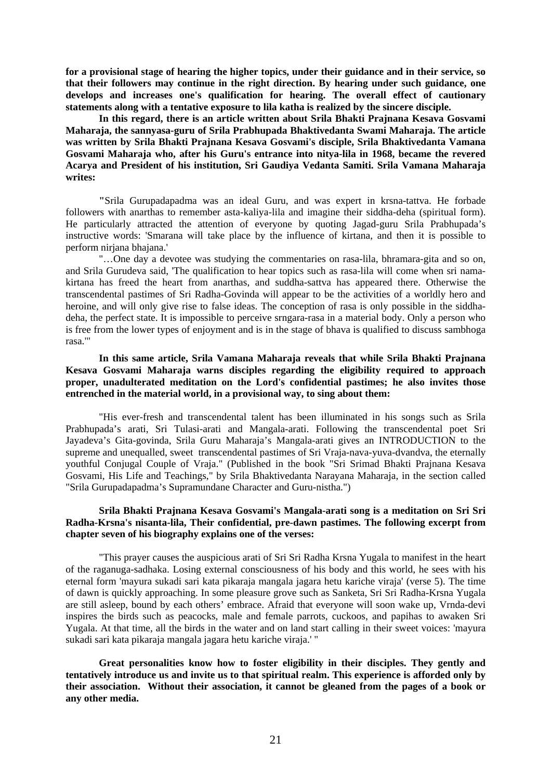**for a provisional stage of hearing the higher topics, under their guidance and in their service, so that their followers may continue in the right direction. By hearing under such guidance, one develops and increases one's qualification for hearing. The overall effect of cautionary statements along with a tentative exposure to lila katha is realized by the sincere disciple.** 

**In this regard, there is an article written about Srila Bhakti Prajnana Kesava Gosvami Maharaja, the sannyasa-guru of Srila Prabhupada Bhaktivedanta Swami Maharaja. The article was written by Srila Bhakti Prajnana Kesava Gosvami's disciple, Srila Bhaktivedanta Vamana Gosvami Maharaja who, after his Guru's entrance into nitya-lila in 1968, became the revered Acarya and President of his institution, Sri Gaudiya Vedanta Samiti. Srila Vamana Maharaja writes:** 

**"**Srila Gurupadapadma was an ideal Guru, and was expert in krsna-tattva. He forbade followers with anarthas to remember asta-kaliya-lila and imagine their siddha-deha (spiritual form). He particularly attracted the attention of everyone by quoting Jagad-guru Srila Prabhupada's instructive words: 'Smarana will take place by the influence of kirtana, and then it is possible to perform nirjana bhajana.'

"...One day a devotee was studying the commentaries on rasa-lila, bhramara-gita and so on, and Srila Gurudeva said, 'The qualification to hear topics such as rasa-lila will come when sri namakirtana has freed the heart from anarthas, and suddha-sattva has appeared there. Otherwise the transcendental pastimes of Sri Radha-Govinda will appear to be the activities of a worldly hero and heroine, and will only give rise to false ideas. The conception of rasa is only possible in the siddhadeha, the perfect state. It is impossible to perceive srngara-rasa in a material body. Only a person who is free from the lower types of enjoyment and is in the stage of bhava is qualified to discuss sambhoga rasa.'"

**In this same article, Srila Vamana Maharaja reveals that while Srila Bhakti Prajnana Kesava Gosvami Maharaja warns disciples regarding the eligibility required to approach proper, unadulterated meditation on the Lord's confidential pastimes; he also invites those entrenched in the material world, in a provisional way, to sing about them:** 

"His ever-fresh and transcendental talent has been illuminated in his songs such as Srila Prabhupada's arati, Sri Tulasi-arati and Mangala-arati. Following the transcendental poet Sri Jayadeva's Gita-govinda, Srila Guru Maharaja's Mangala-arati gives an INTRODUCTION to the supreme and unequalled, sweet transcendental pastimes of Sri Vraja-nava-yuva-dvandva, the eternally youthful Conjugal Couple of Vraja." (Published in the book "Sri Srimad Bhakti Prajnana Kesava Gosvami, His Life and Teachings," by Srila Bhaktivedanta Narayana Maharaja, in the section called "Srila Gurupadapadma's Supramundane Character and Guru-nistha.")

### **Srila Bhakti Prajnana Kesava Gosvami's Mangala-arati song is a meditation on Sri Sri Radha-Krsna's nisanta-lila, Their confidential, pre-dawn pastimes. The following excerpt from chapter seven of his biography explains one of the verses:**

"This prayer causes the auspicious arati of Sri Sri Radha Krsna Yugala to manifest in the heart of the raganuga-sadhaka. Losing external consciousness of his body and this world, he sees with his eternal form 'mayura sukadi sari kata pikaraja mangala jagara hetu kariche viraja' (verse 5). The time of dawn is quickly approaching. In some pleasure grove such as Sanketa, Sri Sri Radha-Krsna Yugala are still asleep, bound by each others' embrace. Afraid that everyone will soon wake up, Vrnda-devi inspires the birds such as peacocks, male and female parrots, cuckoos, and papihas to awaken Sri Yugala. At that time, all the birds in the water and on land start calling in their sweet voices: 'mayura sukadi sari kata pikaraja mangala jagara hetu kariche viraja.' "

**Great personalities know how to foster eligibility in their disciples. They gently and tentatively introduce us and invite us to that spiritual realm. This experience is afforded only by their association. Without their association, it cannot be gleaned from the pages of a book or any other media.**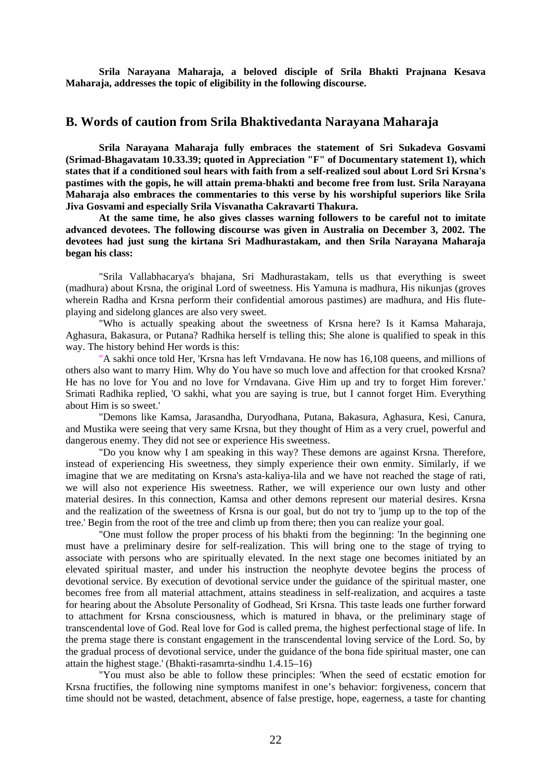**Srila Narayana Maharaja, a beloved disciple of Srila Bhakti Prajnana Kesava Maharaja, addresses the topic of eligibility in the following discourse.** 

## **B. Words of caution from Srila Bhaktivedanta Narayana Maharaja**

**Srila Narayana Maharaja fully embraces the statement of Sri Sukadeva Gosvami (Srimad-Bhagavatam 10.33.39; quoted in Appreciation "F" of Documentary statement 1), which states that if a conditioned soul hears with faith from a self-realized soul about Lord Sri Krsna's pastimes with the gopis, he will attain prema-bhakti and become free from lust. Srila Narayana Maharaja also embraces the commentaries to this verse by his worshipful superiors like Srila Jiva Gosvami and especially Srila Visvanatha Cakravarti Thakura.** 

**At the same time, he also gives classes warning followers to be careful not to imitate advanced devotees. The following discourse was given in Australia on December 3, 2002. The devotees had just sung the kirtana Sri Madhurastakam, and then Srila Narayana Maharaja began his class:** 

"Srila Vallabhacarya's bhajana, Sri Madhurastakam, tells us that everything is sweet (madhura) about Krsna, the original Lord of sweetness. His Yamuna is madhura, His nikunjas (groves wherein Radha and Krsna perform their confidential amorous pastimes) are madhura, and His fluteplaying and sidelong glances are also very sweet.

"Who is actually speaking about the sweetness of Krsna here? Is it Kamsa Maharaja, Aghasura, Bakasura, or Putana? Radhika herself is telling this; She alone is qualified to speak in this way. The history behind Her words is this:

A sakhi once told Her, 'Krsna has left Vrndavana. He now has 16,108 queens, and millions of others also want to marry Him. Why do You have so much love and affection for that crooked Krsna? He has no love for You and no love for Vrndavana. Give Him up and try to forget Him forever.' Srimati Radhika replied, 'O sakhi, what you are saying is true, but I cannot forget Him. Everything about Him is so sweet.'

"Demons like Kamsa, Jarasandha, Duryodhana, Putana, Bakasura, Aghasura, Kesi, Canura, and Mustika were seeing that very same Krsna, but they thought of Him as a very cruel, powerful and dangerous enemy. They did not see or experience His sweetness.

"Do you know why I am speaking in this way? These demons are against Krsna. Therefore, instead of experiencing His sweetness, they simply experience their own enmity. Similarly, if we imagine that we are meditating on Krsna's asta-kaliya-lila and we have not reached the stage of rati, we will also not experience His sweetness. Rather, we will experience our own lusty and other material desires. In this connection, Kamsa and other demons represent our material desires. Krsna and the realization of the sweetness of Krsna is our goal, but do not try to 'jump up to the top of the tree.' Begin from the root of the tree and climb up from there; then you can realize your goal.

"One must follow the proper process of his bhakti from the beginning: 'In the beginning one must have a preliminary desire for self-realization. This will bring one to the stage of trying to associate with persons who are spiritually elevated. In the next stage one becomes initiated by an elevated spiritual master, and under his instruction the neophyte devotee begins the process of devotional service. By execution of devotional service under the guidance of the spiritual master, one becomes free from all material attachment, attains steadiness in self-realization, and acquires a taste for hearing about the Absolute Personality of Godhead, Sri Krsna. This taste leads one further forward to attachment for Krsna consciousness, which is matured in bhava, or the preliminary stage of transcendental love of God. Real love for God is called prema, the highest perfectional stage of life. In the prema stage there is constant engagement in the transcendental loving service of the Lord. So, by the gradual process of devotional service, under the guidance of the bona fide spiritual master, one can attain the highest stage.' (Bhakti-rasamrta-sindhu 1.4.15–16)

"You must also be able to follow these principles: 'When the seed of ecstatic emotion for Krsna fructifies, the following nine symptoms manifest in one's behavior: forgiveness, concern that time should not be wasted, detachment, absence of false prestige, hope, eagerness, a taste for chanting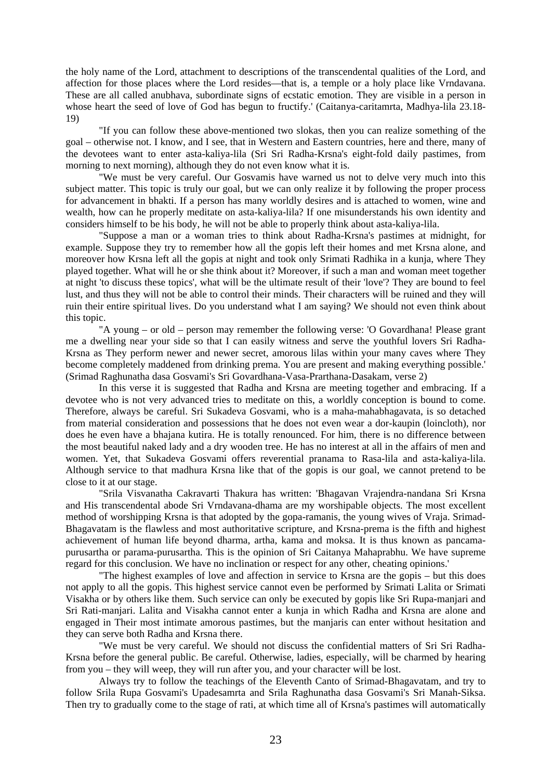the holy name of the Lord, attachment to descriptions of the transcendental qualities of the Lord, and affection for those places where the Lord resides—that is, a temple or a holy place like Vrndavana. These are all called anubhava, subordinate signs of ecstatic emotion. They are visible in a person in whose heart the seed of love of God has begun to fructify.' (Caitanya-caritamrta, Madhya-lila 23.18- 19)

"If you can follow these above-mentioned two slokas, then you can realize something of the goal – otherwise not. I know, and I see, that in Western and Eastern countries, here and there, many of the devotees want to enter asta-kaliya-lila (Sri Sri Radha-Krsna's eight-fold daily pastimes, from morning to next morning), although they do not even know what it is.

"We must be very careful. Our Gosvamis have warned us not to delve very much into this subject matter. This topic is truly our goal, but we can only realize it by following the proper process for advancement in bhakti. If a person has many worldly desires and is attached to women, wine and wealth, how can he properly meditate on asta-kaliya-lila? If one misunderstands his own identity and considers himself to be his body, he will not be able to properly think about asta-kaliya-lila.

"Suppose a man or a woman tries to think about Radha-Krsna's pastimes at midnight, for example. Suppose they try to remember how all the gopis left their homes and met Krsna alone, and moreover how Krsna left all the gopis at night and took only Srimati Radhika in a kunja, where They played together. What will he or she think about it? Moreover, if such a man and woman meet together at night 'to discuss these topics', what will be the ultimate result of their 'love'? They are bound to feel lust, and thus they will not be able to control their minds. Their characters will be ruined and they will ruin their entire spiritual lives. Do you understand what I am saying? We should not even think about this topic.

"A young – or old – person may remember the following verse: 'O Govardhana! Please grant me a dwelling near your side so that I can easily witness and serve the youthful lovers Sri Radha-Krsna as They perform newer and newer secret, amorous lilas within your many caves where They become completely maddened from drinking prema. You are present and making everything possible.' (Srimad Raghunatha dasa Gosvami's Sri Govardhana-Vasa-Prarthana-Dasakam, verse 2)

In this verse it is suggested that Radha and Krsna are meeting together and embracing. If a devotee who is not very advanced tries to meditate on this, a worldly conception is bound to come. Therefore, always be careful. Sri Sukadeva Gosvami, who is a maha-mahabhagavata, is so detached from material consideration and possessions that he does not even wear a dor-kaupin (loincloth), nor does he even have a bhajana kutira. He is totally renounced. For him, there is no difference between the most beautiful naked lady and a dry wooden tree. He has no interest at all in the affairs of men and women. Yet, that Sukadeva Gosvami offers reverential pranama to Rasa-lila and asta-kaliya-lila. Although service to that madhura Krsna like that of the gopis is our goal, we cannot pretend to be close to it at our stage.

"Srila Visvanatha Cakravarti Thakura has written: 'Bhagavan Vrajendra-nandana Sri Krsna and His transcendental abode Sri Vrndavana-dhama are my worshipable objects. The most excellent method of worshipping Krsna is that adopted by the gopa-ramanis, the young wives of Vraja. Srimad-Bhagavatam is the flawless and most authoritative scripture, and Krsna-prema is the fifth and highest achievement of human life beyond dharma, artha, kama and moksa. It is thus known as pancamapurusartha or parama-purusartha. This is the opinion of Sri Caitanya Mahaprabhu. We have supreme regard for this conclusion. We have no inclination or respect for any other, cheating opinions.'

"The highest examples of love and affection in service to Krsna are the gopis – but this does not apply to all the gopis. This highest service cannot even be performed by Srimati Lalita or Srimati Visakha or by others like them. Such service can only be executed by gopis like Sri Rupa-manjari and Sri Rati-manjari. Lalita and Visakha cannot enter a kunja in which Radha and Krsna are alone and engaged in Their most intimate amorous pastimes, but the manjaris can enter without hesitation and they can serve both Radha and Krsna there.

"We must be very careful. We should not discuss the confidential matters of Sri Sri Radha-Krsna before the general public. Be careful. Otherwise, ladies, especially, will be charmed by hearing from you – they will weep, they will run after you, and your character will be lost.

Always try to follow the teachings of the Eleventh Canto of Srimad-Bhagavatam, and try to follow Srila Rupa Gosvami's Upadesamrta and Srila Raghunatha dasa Gosvami's Sri Manah-Siksa. Then try to gradually come to the stage of rati, at which time all of Krsna's pastimes will automatically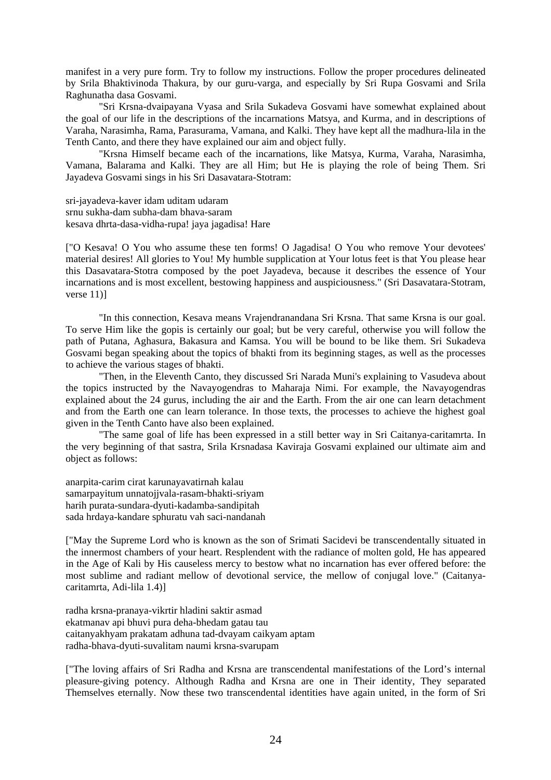manifest in a very pure form. Try to follow my instructions. Follow the proper procedures delineated by Srila Bhaktivinoda Thakura, by our guru-varga, and especially by Sri Rupa Gosvami and Srila Raghunatha dasa Gosvami.

"Sri Krsna-dvaipayana Vyasa and Srila Sukadeva Gosvami have somewhat explained about the goal of our life in the descriptions of the incarnations Matsya, and Kurma, and in descriptions of Varaha, Narasimha, Rama, Parasurama, Vamana, and Kalki. They have kept all the madhura-lila in the Tenth Canto, and there they have explained our aim and object fully.

"Krsna Himself became each of the incarnations, like Matsya, Kurma, Varaha, Narasimha, Vamana, Balarama and Kalki. They are all Him; but He is playing the role of being Them. Sri Jayadeva Gosvami sings in his Sri Dasavatara-Stotram:

sri-jayadeva-kaver idam uditam udaram srnu sukha-dam subha-dam bhava-saram kesava dhrta-dasa-vidha-rupa! jaya jagadisa! Hare

["O Kesava! O You who assume these ten forms! O Jagadisa! O You who remove Your devotees' material desires! All glories to You! My humble supplication at Your lotus feet is that You please hear this Dasavatara-Stotra composed by the poet Jayadeva, because it describes the essence of Your incarnations and is most excellent, bestowing happiness and auspiciousness." (Sri Dasavatara-Stotram, verse 11)]

"In this connection, Kesava means Vrajendranandana Sri Krsna. That same Krsna is our goal. To serve Him like the gopis is certainly our goal; but be very careful, otherwise you will follow the path of Putana, Aghasura, Bakasura and Kamsa. You will be bound to be like them. Sri Sukadeva Gosvami began speaking about the topics of bhakti from its beginning stages, as well as the processes to achieve the various stages of bhakti.

"Then, in the Eleventh Canto, they discussed Sri Narada Muni's explaining to Vasudeva about the topics instructed by the Navayogendras to Maharaja Nimi. For example, the Navayogendras explained about the 24 gurus, including the air and the Earth. From the air one can learn detachment and from the Earth one can learn tolerance. In those texts, the processes to achieve the highest goal given in the Tenth Canto have also been explained.

"The same goal of life has been expressed in a still better way in Sri Caitanya-caritamrta. In the very beginning of that sastra, Srila Krsnadasa Kaviraja Gosvami explained our ultimate aim and object as follows:

anarpita-carim cirat karunayavatirnah kalau samarpayitum unnatojjvala-rasam-bhakti-sriyam harih purata-sundara-dyuti-kadamba-sandipitah sada hrdaya-kandare sphuratu vah saci-nandanah

["May the Supreme Lord who is known as the son of Srimati Sacidevi be transcendentally situated in the innermost chambers of your heart. Resplendent with the radiance of molten gold, He has appeared in the Age of Kali by His causeless mercy to bestow what no incarnation has ever offered before: the most sublime and radiant mellow of devotional service, the mellow of conjugal love." (Caitanyacaritamrta, Adi-lila 1.4)]

radha krsna-pranaya-vikrtir hladini saktir asmad ekatmanav api bhuvi pura deha-bhedam gatau tau caitanyakhyam prakatam adhuna tad-dvayam caikyam aptam radha-bhava-dyuti-suvalitam naumi krsna-svarupam

["The loving affairs of Sri Radha and Krsna are transcendental manifestations of the Lord's internal pleasure-giving potency. Although Radha and Krsna are one in Their identity, They separated Themselves eternally. Now these two transcendental identities have again united, in the form of Sri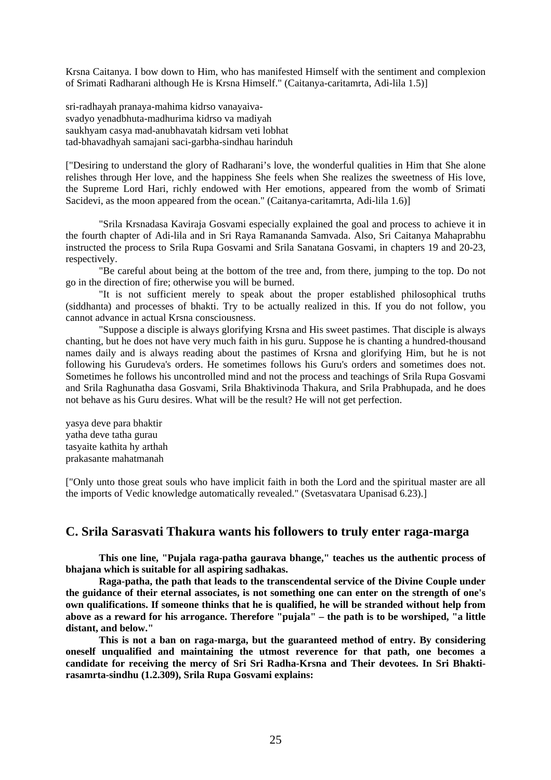Krsna Caitanya. I bow down to Him, who has manifested Himself with the sentiment and complexion of Srimati Radharani although He is Krsna Himself." (Caitanya-caritamrta, Adi-lila 1.5)]

sri-radhayah pranaya-mahima kidrso vanayaivasvadyo yenadbhuta-madhurima kidrso va madiyah saukhyam casya mad-anubhavatah kidrsam veti lobhat tad-bhavadhyah samajani saci-garbha-sindhau harinduh

["Desiring to understand the glory of Radharani's love, the wonderful qualities in Him that She alone relishes through Her love, and the happiness She feels when She realizes the sweetness of His love, the Supreme Lord Hari, richly endowed with Her emotions, appeared from the womb of Srimati Sacidevi, as the moon appeared from the ocean." (Caitanya-caritamrta, Adi-lila 1.6)]

"Srila Krsnadasa Kaviraja Gosvami especially explained the goal and process to achieve it in the fourth chapter of Adi-lila and in Sri Raya Ramananda Samvada. Also, Sri Caitanya Mahaprabhu instructed the process to Srila Rupa Gosvami and Srila Sanatana Gosvami, in chapters 19 and 20-23, respectively.

"Be careful about being at the bottom of the tree and, from there, jumping to the top. Do not go in the direction of fire; otherwise you will be burned.

"It is not sufficient merely to speak about the proper established philosophical truths (siddhanta) and processes of bhakti. Try to be actually realized in this. If you do not follow, you cannot advance in actual Krsna consciousness.

"Suppose a disciple is always glorifying Krsna and His sweet pastimes. That disciple is always chanting, but he does not have very much faith in his guru. Suppose he is chanting a hundred-thousand names daily and is always reading about the pastimes of Krsna and glorifying Him, but he is not following his Gurudeva's orders. He sometimes follows his Guru's orders and sometimes does not. Sometimes he follows his uncontrolled mind and not the process and teachings of Srila Rupa Gosvami and Srila Raghunatha dasa Gosvami, Srila Bhaktivinoda Thakura, and Srila Prabhupada, and he does not behave as his Guru desires. What will be the result? He will not get perfection.

yasya deve para bhaktir yatha deve tatha gurau tasyaite kathita hy arthah prakasante mahatmanah

["Only unto those great souls who have implicit faith in both the Lord and the spiritual master are all the imports of Vedic knowledge automatically revealed." (Svetasvatara Upanisad 6.23).]

## **C. Srila Sarasvati Thakura wants his followers to truly enter raga-marga**

**This one line, "Pujala raga-patha gaurava bhange," teaches us the authentic process of bhajana which is suitable for all aspiring sadhakas.** 

**Raga-patha, the path that leads to the transcendental service of the Divine Couple under the guidance of their eternal associates, is not something one can enter on the strength of one's own qualifications. If someone thinks that he is qualified, he will be stranded without help from above as a reward for his arrogance. Therefore "pujala" – the path is to be worshiped, "a little distant, and below."** 

**This is not a ban on raga-marga, but the guaranteed method of entry. By considering oneself unqualified and maintaining the utmost reverence for that path, one becomes a candidate for receiving the mercy of Sri Sri Radha-Krsna and Their devotees. In Sri Bhaktirasamrta-sindhu (1.2.309), Srila Rupa Gosvami explains:**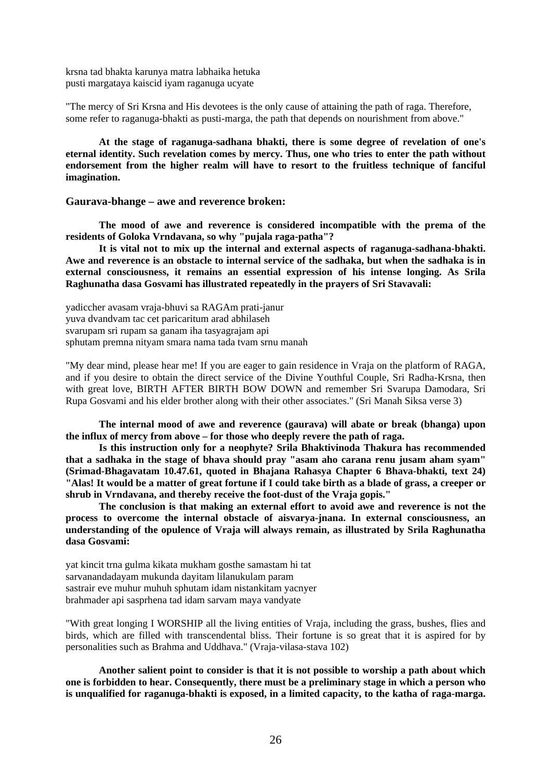krsna tad bhakta karunya matra labhaika hetuka pusti margataya kaiscid iyam raganuga ucyate

"The mercy of Sri Krsna and His devotees is the only cause of attaining the path of raga. Therefore, some refer to raganuga-bhakti as pusti-marga, the path that depends on nourishment from above."

**At the stage of raganuga-sadhana bhakti, there is some degree of revelation of one's eternal identity. Such revelation comes by mercy. Thus, one who tries to enter the path without endorsement from the higher realm will have to resort to the fruitless technique of fanciful imagination.**

#### **Gaurava-bhange – awe and reverence broken:**

**The mood of awe and reverence is considered incompatible with the prema of the residents of Goloka Vrndavana, so why "pujala raga-patha"?** 

**It is vital not to mix up the internal and external aspects of raganuga-sadhana-bhakti. Awe and reverence is an obstacle to internal service of the sadhaka, but when the sadhaka is in external consciousness, it remains an essential expression of his intense longing. As Srila Raghunatha dasa Gosvami has illustrated repeatedly in the prayers of Sri Stavavali:** 

yadiccher avasam vraja-bhuvi sa RAGAm prati-janur yuva dvandvam tac cet paricaritum arad abhilaseh svarupam sri rupam sa ganam iha tasyagrajam api sphutam premna nityam smara nama tada tvam srnu manah

"My dear mind, please hear me! If you are eager to gain residence in Vraja on the platform of RAGA, and if you desire to obtain the direct service of the Divine Youthful Couple, Sri Radha-Krsna, then with great love, BIRTH AFTER BIRTH BOW DOWN and remember Sri Svarupa Damodara, Sri Rupa Gosvami and his elder brother along with their other associates." (Sri Manah Siksa verse 3)

**The internal mood of awe and reverence (gaurava) will abate or break (bhanga) upon the influx of mercy from above – for those who deeply revere the path of raga.** 

**Is this instruction only for a neophyte? Srila Bhaktivinoda Thakura has recommended that a sadhaka in the stage of bhava should pray "asam aho carana renu jusam aham syam" (Srimad-Bhagavatam 10.47.61, quoted in Bhajana Rahasya Chapter 6 Bhava-bhakti, text 24) "Alas! It would be a matter of great fortune if I could take birth as a blade of grass, a creeper or shrub in Vrndavana, and thereby receive the foot-dust of the Vraja gopis."** 

**The conclusion is that making an external effort to avoid awe and reverence is not the process to overcome the internal obstacle of aisvarya-jnana. In external consciousness, an understanding of the opulence of Vraja will always remain, as illustrated by Srila Raghunatha dasa Gosvami:** 

yat kincit trna gulma kikata mukham gosthe samastam hi tat sarvanandadayam mukunda dayitam lilanukulam param sastrair eve muhur muhuh sphutam idam nistankitam yacnyer brahmader api sasprhena tad idam sarvam maya vandyate

"With great longing I WORSHIP all the living entities of Vraja, including the grass, bushes, flies and birds, which are filled with transcendental bliss. Their fortune is so great that it is aspired for by personalities such as Brahma and Uddhava." (Vraja-vilasa-stava 102)

**Another salient point to consider is that it is not possible to worship a path about which one is forbidden to hear. Consequently, there must be a preliminary stage in which a person who is unqualified for raganuga-bhakti is exposed, in a limited capacity, to the katha of raga-marga.**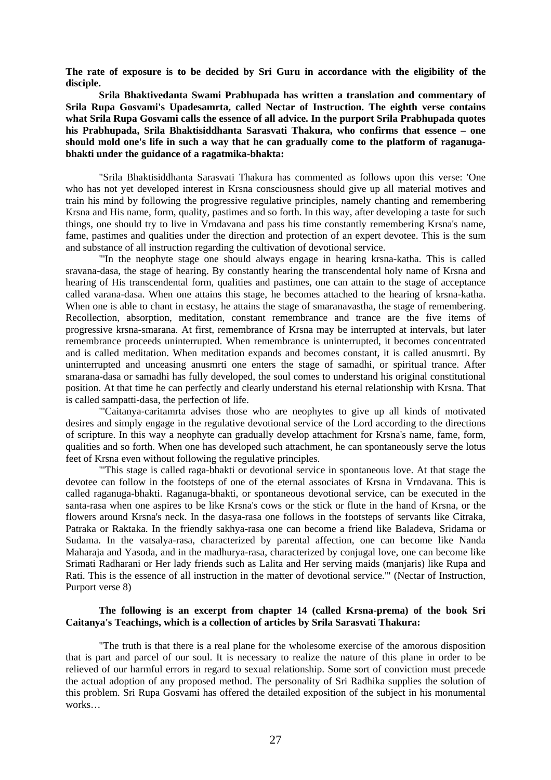**The rate of exposure is to be decided by Sri Guru in accordance with the eligibility of the disciple.** 

**Srila Bhaktivedanta Swami Prabhupada has written a translation and commentary of Srila Rupa Gosvami's Upadesamrta, called Nectar of Instruction. The eighth verse contains what Srila Rupa Gosvami calls the essence of all advice. In the purport Srila Prabhupada quotes his Prabhupada, Srila Bhaktisiddhanta Sarasvati Thakura, who confirms that essence – one should mold one's life in such a way that he can gradually come to the platform of raganugabhakti under the guidance of a ragatmika-bhakta:** 

"Srila Bhaktisiddhanta Sarasvati Thakura has commented as follows upon this verse: 'One who has not yet developed interest in Krsna consciousness should give up all material motives and train his mind by following the progressive regulative principles, namely chanting and remembering Krsna and His name, form, quality, pastimes and so forth. In this way, after developing a taste for such things, one should try to live in Vrndavana and pass his time constantly remembering Krsna's name, fame, pastimes and qualities under the direction and protection of an expert devotee. This is the sum and substance of all instruction regarding the cultivation of devotional service.

"'In the neophyte stage one should always engage in hearing krsna-katha. This is called sravana-dasa, the stage of hearing. By constantly hearing the transcendental holy name of Krsna and hearing of His transcendental form, qualities and pastimes, one can attain to the stage of acceptance called varana-dasa. When one attains this stage, he becomes attached to the hearing of krsna-katha. When one is able to chant in ecstasy, he attains the stage of smaranavastha, the stage of remembering. Recollection, absorption, meditation, constant remembrance and trance are the five items of progressive krsna-smarana. At first, remembrance of Krsna may be interrupted at intervals, but later remembrance proceeds uninterrupted. When remembrance is uninterrupted, it becomes concentrated and is called meditation. When meditation expands and becomes constant, it is called anusmrti. By uninterrupted and unceasing anusmrti one enters the stage of samadhi, or spiritual trance. After smarana-dasa or samadhi has fully developed, the soul comes to understand his original constitutional position. At that time he can perfectly and clearly understand his eternal relationship with Krsna. That is called sampatti-dasa, the perfection of life.

"'Caitanya-caritamrta advises those who are neophytes to give up all kinds of motivated desires and simply engage in the regulative devotional service of the Lord according to the directions of scripture. In this way a neophyte can gradually develop attachment for Krsna's name, fame, form, qualities and so forth. When one has developed such attachment, he can spontaneously serve the lotus feet of Krsna even without following the regulative principles.

"'This stage is called raga-bhakti or devotional service in spontaneous love. At that stage the devotee can follow in the footsteps of one of the eternal associates of Krsna in Vrndavana. This is called raganuga-bhakti. Raganuga-bhakti, or spontaneous devotional service, can be executed in the santa-rasa when one aspires to be like Krsna's cows or the stick or flute in the hand of Krsna, or the flowers around Krsna's neck. In the dasya-rasa one follows in the footsteps of servants like Citraka, Patraka or Raktaka. In the friendly sakhya-rasa one can become a friend like Baladeva, Sridama or Sudama. In the vatsalya-rasa, characterized by parental affection, one can become like Nanda Maharaja and Yasoda, and in the madhurya-rasa, characterized by conjugal love, one can become like Srimati Radharani or Her lady friends such as Lalita and Her serving maids (manjaris) like Rupa and Rati. This is the essence of all instruction in the matter of devotional service.'" (Nectar of Instruction, Purport verse 8)

#### **The following is an excerpt from chapter 14 (called Krsna-prema) of the book Sri Caitanya's Teachings, which is a collection of articles by Srila Sarasvati Thakura:**

"The truth is that there is a real plane for the wholesome exercise of the amorous disposition that is part and parcel of our soul. It is necessary to realize the nature of this plane in order to be relieved of our harmful errors in regard to sexual relationship. Some sort of conviction must precede the actual adoption of any proposed method. The personality of Sri Radhika supplies the solution of this problem. Sri Rupa Gosvami has offered the detailed exposition of the subject in his monumental works…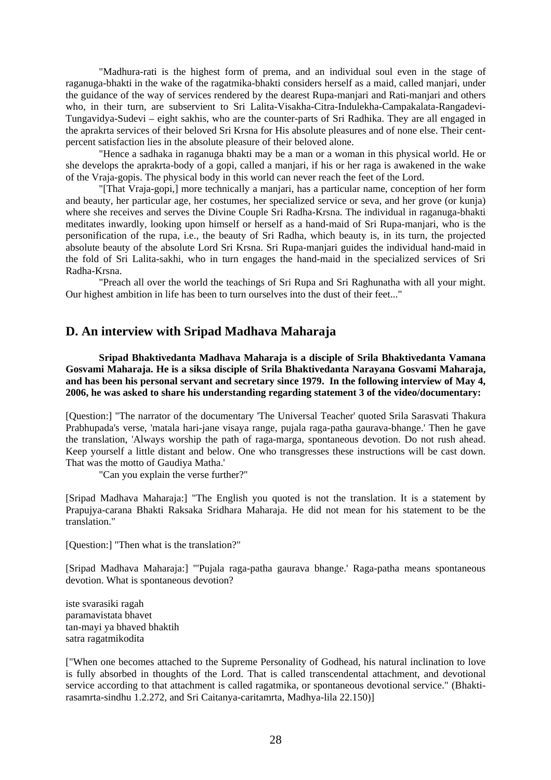<span id="page-27-0"></span>"Madhura-rati is the highest form of prema, and an individual soul even in the stage of raganuga-bhakti in the wake of the ragatmika-bhakti considers herself as a maid, called manjari, under the guidance of the way of services rendered by the dearest Rupa-manjari and Rati-manjari and others who, in their turn, are subservient to Sri Lalita-Visakha-Citra-Indulekha-Campakalata-Rangadevi-Tungavidya-Sudevi – eight sakhis, who are the counter-parts of Sri Radhika. They are all engaged in the aprakrta services of their beloved Sri Krsna for His absolute pleasures and of none else. Their centpercent satisfaction lies in the absolute pleasure of their beloved alone.

"Hence a sadhaka in raganuga bhakti may be a man or a woman in this physical world. He or she develops the aprakrta-body of a gopi, called a manjari, if his or her raga is awakened in the wake of the Vraja-gopis. The physical body in this world can never reach the feet of the Lord.

"[That Vraja-gopi,] more technically a manjari, has a particular name, conception of her form and beauty, her particular age, her costumes, her specialized service or seva, and her grove (or kunja) where she receives and serves the Divine Couple Sri Radha-Krsna. The individual in raganuga-bhakti meditates inwardly, looking upon himself or herself as a hand-maid of Sri Rupa-manjari, who is the personification of the rupa, i.e., the beauty of Sri Radha, which beauty is, in its turn, the projected absolute beauty of the absolute Lord Sri Krsna. Sri Rupa-manjari guides the individual hand-maid in the fold of Sri Lalita-sakhi, who in turn engages the hand-maid in the specialized services of Sri Radha-Krsna.

"Preach all over the world the teachings of Sri Rupa and Sri Raghunatha with all your might. Our highest ambition in life has been to turn ourselves into the dust of their feet..."

# **D. An interview with Sripad Madhava Maharaja**

**Sripad Bhaktivedanta Madhava Maharaja is a disciple of Srila Bhaktivedanta Vamana Gosvami Maharaja. He is a siksa disciple of Srila Bhaktivedanta Narayana Gosvami Maharaja, and has been his personal servant and secretary since 1979. In the following interview of May 4, 2006, he was asked to share his understanding regarding statement 3 of the video/documentary:**

[Question:] "The narrator of the documentary 'The Universal Teacher' quoted Srila Sarasvati Thakura Prabhupada's verse, 'matala hari-jane visaya range, pujala raga-patha gaurava-bhange.' Then he gave the translation, 'Always worship the path of raga-marga, spontaneous devotion. Do not rush ahead. Keep yourself a little distant and below. One who transgresses these instructions will be cast down. That was the motto of Gaudiya Matha.'

"Can you explain the verse further?"

[Sripad Madhava Maharaja:] "The English you quoted is not the translation. It is a statement by Prapujya-carana Bhakti Raksaka Sridhara Maharaja. He did not mean for his statement to be the translation."

[Question:] "Then what is the translation?"

[Sripad Madhava Maharaja:] "'Pujala raga-patha gaurava bhange.' Raga-patha means spontaneous devotion. What is spontaneous devotion?

iste svarasiki ragah paramavistata bhavet tan-mayi ya bhaved bhaktih satra ragatmikodita

["When one becomes attached to the Supreme Personality of Godhead, his natural inclination to love is fully absorbed in thoughts of the Lord. That is called transcendental attachment, and devotional service according to that attachment is called ragatmika, or spontaneous devotional service." (Bhaktirasamrta-sindhu 1.2.272, and Sri Caitanya-caritamrta, Madhya-lila 22.150)]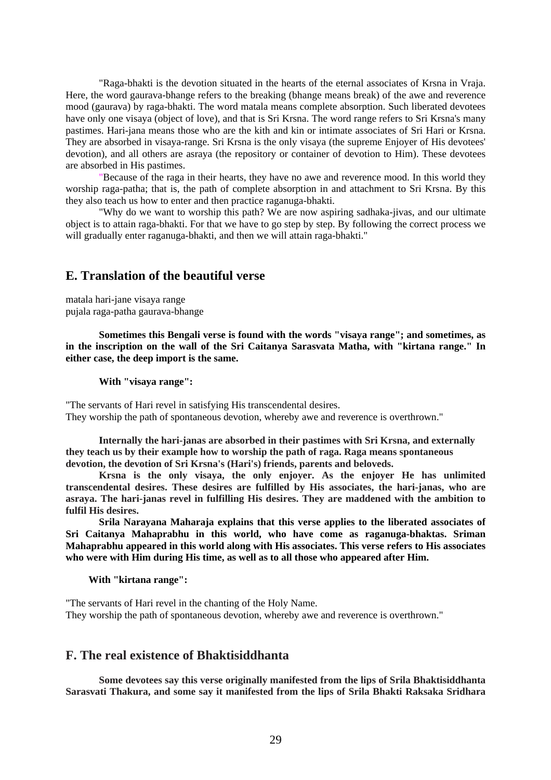"Raga-bhakti is the devotion situated in the hearts of the eternal associates of Krsna in Vraja. Here, the word gaurava-bhange refers to the breaking (bhange means break) of the awe and reverence mood (gaurava) by raga-bhakti. The word matala means complete absorption. Such liberated devotees have only one visaya (object of love), and that is Sri Krsna. The word range refers to Sri Krsna's many pastimes. Hari-jana means those who are the kith and kin or intimate associates of Sri Hari or Krsna. They are absorbed in visaya-range. Sri Krsna is the only visaya (the supreme Enjoyer of His devotees' devotion), and all others are asraya (the repository or container of devotion to Him). These devotees are absorbed in His pastimes.

"Because of the raga in their hearts, they have no awe and reverence mood. In this world they worship raga-patha; that is, the path of complete absorption in and attachment to Sri Krsna. By this they also teach us how to enter and then practice raganuga-bhakti.

"Why do we want to worship this path? We are now aspiring sadhaka-jivas, and our ultimate object is to attain raga-bhakti. For that we have to go step by step. By following the correct process we will gradually enter raganuga-bhakti, and then we will attain raga-bhakti."

# **E. Translation of the beautiful verse**

matala hari-jane visaya range pujala raga-patha gaurava-bhange

**Sometimes this Bengali verse is found with the words "visaya range"; and sometimes, as in the inscription on the wall of the Sri Caitanya Sarasvata Matha, with "kirtana range." In either case, the deep import is the same.** 

#### **With "visaya range":**

"The servants of Hari revel in satisfying His transcendental desires. They worship the path of spontaneous devotion, whereby awe and reverence is overthrown."

 **Internally the hari-janas are absorbed in their pastimes with Sri Krsna, and externally they teach us by their example how to worship the path of raga. Raga means spontaneous devotion, the devotion of Sri Krsna's (Hari's) friends, parents and beloveds.** 

**Krsna is the only visaya, the only enjoyer. As the enjoyer He has unlimited transcendental desires. These desires are fulfilled by His associates, the hari-janas, who are asraya. The hari-janas revel in fulfilling His desires. They are maddened with the ambition to fulfil His desires.** 

**Srila Narayana Maharaja explains that this verse applies to the liberated associates of Sri Caitanya Mahaprabhu in this world, who have come as raganuga-bhaktas. Sriman Mahaprabhu appeared in this world along with His associates. This verse refers to His associates who were with Him during His time, as well as to all those who appeared after Him.** 

**With "kirtana range":** 

"The servants of Hari revel in the chanting of the Holy Name. They worship the path of spontaneous devotion, whereby awe and reverence is overthrown."

# **F. The real existence of Bhaktisiddhanta**

**Some devotees say this verse originally manifested from the lips of Srila Bhaktisiddhanta Sarasvati Thakura, and some say it manifested from the lips of Srila Bhakti Raksaka Sridhara**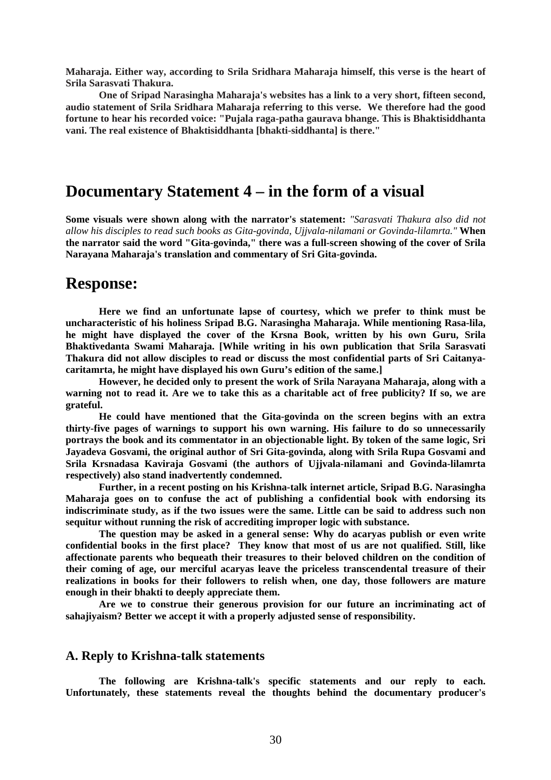**Maharaja. Either way, according to Srila Sridhara Maharaja himself, this verse is the heart of Srila Sarasvati Thakura.** 

**One of Sripad Narasingha Maharaja's websites has a link to a very short, fifteen second, audio statement of Srila Sridhara Maharaja referring to this verse. We therefore had the good fortune to hear his recorded voice: "Pujala raga-patha gaurava bhange. This is Bhaktisiddhanta vani. The real existence of Bhaktisiddhanta [bhakti-siddhanta] is there."** 

# **Documentary Statement 4 – in the form of a visual**

**Some visuals were shown along with the narrator's statement:** *"Sarasvati Thakura also did not allow his disciples to read such books as Gita-govinda, Ujjvala-nilamani or Govinda-lilamrta."* **When the narrator said the word "Gita-govinda," there was a full-screen showing of the cover of Srila Narayana Maharaja's translation and commentary of Sri Gita-govinda.** 

# **Response:**

**Here we find an unfortunate lapse of courtesy, which we prefer to think must be uncharacteristic of his holiness Sripad B.G. Narasingha Maharaja. While mentioning Rasa-lila, he might have displayed the cover of the Krsna Book, written by his own Guru, Srila Bhaktivedanta Swami Maharaja. [While writing in his own publication that Srila Sarasvati Thakura did not allow disciples to read or discuss the most confidential parts of Sri Caitanyacaritamrta, he might have displayed his own Guru's edition of the same.]** 

**However, he decided only to present the work of Srila Narayana Maharaja, along with a warning not to read it. Are we to take this as a charitable act of free publicity? If so, we are grateful.** 

**He could have mentioned that the Gita-govinda on the screen begins with an extra thirty-five pages of warnings to support his own warning. His failure to do so unnecessarily portrays the book and its commentator in an objectionable light. By token of the same logic, Sri Jayadeva Gosvami, the original author of Sri Gita-govinda, along with Srila Rupa Gosvami and Srila Krsnadasa Kaviraja Gosvami (the authors of Ujjvala-nilamani and Govinda-lilamrta respectively) also stand inadvertently condemned.** 

**Further, in a recent posting on his Krishna-talk internet article, Sripad B.G. Narasingha Maharaja goes on to confuse the act of publishing a confidential book with endorsing its indiscriminate study, as if the two issues were the same. Little can be said to address such non sequitur without running the risk of accrediting improper logic with substance.** 

**The question may be asked in a general sense: Why do acaryas publish or even write confidential books in the first place? They know that most of us are not qualified. Still, like affectionate parents who bequeath their treasures to their beloved children on the condition of their coming of age, our merciful acaryas leave the priceless transcendental treasure of their realizations in books for their followers to relish when, one day, those followers are mature enough in their bhakti to deeply appreciate them.** 

**Are we to construe their generous provision for our future an incriminating act of sahajiyaism? Better we accept it with a properly adjusted sense of responsibility.** 

# **A. Reply to Krishna-talk statements**

**The following are Krishna-talk's specific statements and our reply to each. Unfortunately, these statements reveal the thoughts behind the documentary producer's**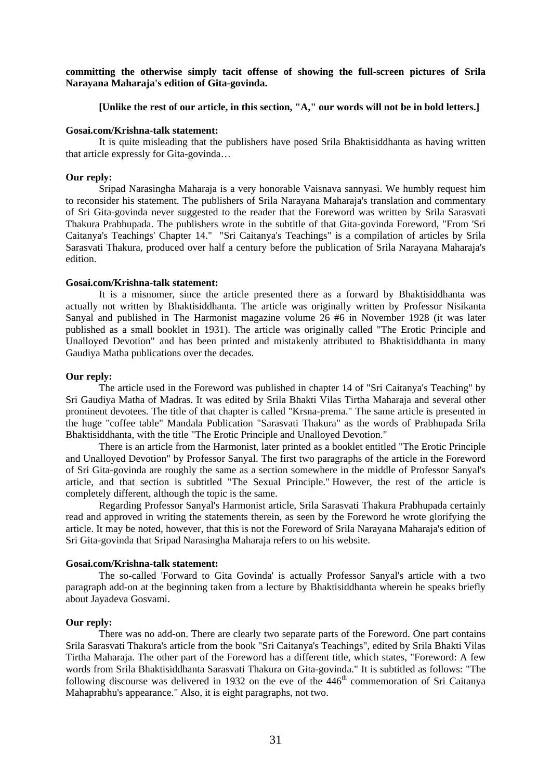### **committing the otherwise simply tacit offense of showing the full-screen pictures of Srila Narayana Maharaja's edition of Gita-govinda.**

#### **[Unlike the rest of our article, in this section, "A," our words will not be in bold letters.]**

#### **Gosai.com/Krishna-talk statement:**

It is quite misleading that the publishers have posed Srila Bhaktisiddhanta as having written that article expressly for Gita-govinda…

#### **Our reply:**

Sripad Narasingha Maharaja is a very honorable Vaisnava sannyasi. We humbly request him to reconsider his statement. The publishers of Srila Narayana Maharaja's translation and commentary of Sri Gita-govinda never suggested to the reader that the Foreword was written by Srila Sarasvati Thakura Prabhupada. The publishers wrote in the subtitle of that Gita-govinda Foreword, "From 'Sri Caitanya's Teachings' Chapter 14." "Sri Caitanya's Teachings" is a compilation of articles by Srila Sarasvati Thakura, produced over half a century before the publication of Srila Narayana Maharaja's edition.

#### **Gosai.com/Krishna-talk statement:**

It is a misnomer, since the article presented there as a forward by Bhaktisiddhanta was actually not written by Bhaktisiddhanta. The article was originally written by Professor Nisikanta Sanyal and published in The Harmonist magazine volume 26 #6 in November 1928 (it was later published as a small booklet in 1931). The article was originally called "The Erotic Principle and Unalloyed Devotion" and has been printed and mistakenly attributed to Bhaktisiddhanta in many Gaudiya Matha publications over the decades.

#### **Our reply:**

The article used in the Foreword was published in chapter 14 of "Sri Caitanya's Teaching" by Sri Gaudiya Matha of Madras. It was edited by Srila Bhakti Vilas Tirtha Maharaja and several other prominent devotees. The title of that chapter is called "Krsna-prema." The same article is presented in the huge "coffee table" Mandala Publication "Sarasvati Thakura" as the words of Prabhupada Srila Bhaktisiddhanta, with the title "The Erotic Principle and Unalloyed Devotion."

There is an article from the Harmonist, later printed as a booklet entitled "The Erotic Principle and Unalloyed Devotion" by Professor Sanyal. The first two paragraphs of the article in the Foreword of Sri Gita-govinda are roughly the same as a section somewhere in the middle of Professor Sanyal's article, and that section is subtitled "The Sexual Principle." However, the rest of the article is completely different, although the topic is the same.

Regarding Professor Sanyal's Harmonist article, Srila Sarasvati Thakura Prabhupada certainly read and approved in writing the statements therein, as seen by the Foreword he wrote glorifying the article. It may be noted, however, that this is not the Foreword of Srila Narayana Maharaja's edition of Sri Gita-govinda that Sripad Narasingha Maharaja refers to on his website.

#### **Gosai.com/Krishna-talk statement:**

The so-called 'Forward to Gita Govinda' is actually Professor Sanyal's article with a two paragraph add-on at the beginning taken from a lecture by Bhaktisiddhanta wherein he speaks briefly about Jayadeva Gosvami.

#### **Our reply:**

There was no add-on. There are clearly two separate parts of the Foreword. One part contains Srila Sarasvati Thakura's article from the book "Sri Caitanya's Teachings", edited by Srila Bhakti Vilas Tirtha Maharaja. The other part of the Foreword has a different title, which states, "Foreword: A few words from Srila Bhaktisiddhanta Sarasvati Thakura on Gita-govinda." It is subtitled as follows: "The following discourse was delivered in 1932 on the eve of the  $446<sup>th</sup>$  commemoration of Sri Caitanya Mahaprabhu's appearance." Also, it is eight paragraphs, not two.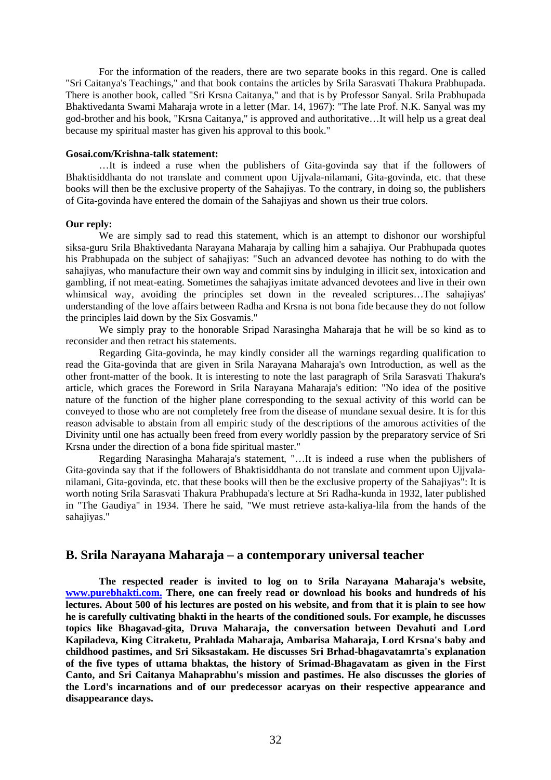For the information of the readers, there are two separate books in this regard. One is called "Sri Caitanya's Teachings," and that book contains the articles by Srila Sarasvati Thakura Prabhupada. There is another book, called "Sri Krsna Caitanya," and that is by Professor Sanyal. Srila Prabhupada Bhaktivedanta Swami Maharaja wrote in a letter (Mar. 14, 1967): "The late Prof. N.K. Sanyal was my god-brother and his book, "Krsna Caitanya," is approved and authoritative…It will help us a great deal because my spiritual master has given his approval to this book."

#### **Gosai.com/Krishna-talk statement:**

…It is indeed a ruse when the publishers of Gita-govinda say that if the followers of Bhaktisiddhanta do not translate and comment upon Ujjvala-nilamani, Gita-govinda, etc. that these books will then be the exclusive property of the Sahajiyas. To the contrary, in doing so, the publishers of Gita-govinda have entered the domain of the Sahajiyas and shown us their true colors.

#### **Our reply:**

We are simply sad to read this statement, which is an attempt to dishonor our worshipful siksa-guru Srila Bhaktivedanta Narayana Maharaja by calling him a sahajiya. Our Prabhupada quotes his Prabhupada on the subject of sahajiyas: "Such an advanced devotee has nothing to do with the sahajiyas, who manufacture their own way and commit sins by indulging in illicit sex, intoxication and gambling, if not meat-eating. Sometimes the sahajiyas imitate advanced devotees and live in their own whimsical way, avoiding the principles set down in the revealed scriptures...The sahajiyas' understanding of the love affairs between Radha and Krsna is not bona fide because they do not follow the principles laid down by the Six Gosvamis."

We simply pray to the honorable Sripad Narasingha Maharaja that he will be so kind as to reconsider and then retract his statements.

Regarding Gita-govinda, he may kindly consider all the warnings regarding qualification to read the Gita-govinda that are given in Srila Narayana Maharaja's own Introduction, as well as the other front-matter of the book. It is interesting to note the last paragraph of Srila Sarasvati Thakura's article, which graces the Foreword in Srila Narayana Maharaja's edition: "No idea of the positive nature of the function of the higher plane corresponding to the sexual activity of this world can be conveyed to those who are not completely free from the disease of mundane sexual desire. It is for this reason advisable to abstain from all empiric study of the descriptions of the amorous activities of the Divinity until one has actually been freed from every worldly passion by the preparatory service of Sri Krsna under the direction of a bona fide spiritual master."

Regarding Narasingha Maharaja's statement, "…It is indeed a ruse when the publishers of Gita-govinda say that if the followers of Bhaktisiddhanta do not translate and comment upon Ujjvalanilamani, Gita-govinda, etc. that these books will then be the exclusive property of the Sahajiyas": It is worth noting Srila Sarasvati Thakura Prabhupada's lecture at Sri Radha-kunda in 1932, later published in "The Gaudiya" in 1934. There he said, "We must retrieve asta-kaliya-lila from the hands of the sahajiyas."

## **B. Srila Narayana Maharaja – a contemporary universal teacher**

**The respected reader is invited to log on to Srila Narayana Maharaja's website, www.purebhakti.com. There, one can freely read or download his books and hundreds of his lectures. About 500 of his lectures are posted on his website, and from that it is plain to see how he is carefully cultivating bhakti in the hearts of the conditioned souls. For example, he discusses topics like Bhagavad-gita, Druva Maharaja, the conversation between Devahuti and Lord Kapiladeva, King Citraketu, Prahlada Maharaja, Ambarisa Maharaja, Lord Krsna's baby and childhood pastimes, and Sri Siksastakam. He discusses Sri Brhad-bhagavatamrta's explanation of the five types of uttama bhaktas, the history of Srimad-Bhagavatam as given in the First Canto, and Sri Caitanya Mahaprabhu's mission and pastimes. He also discusses the glories of the Lord's incarnations and of our predecessor acaryas on their respective appearance and disappearance days.**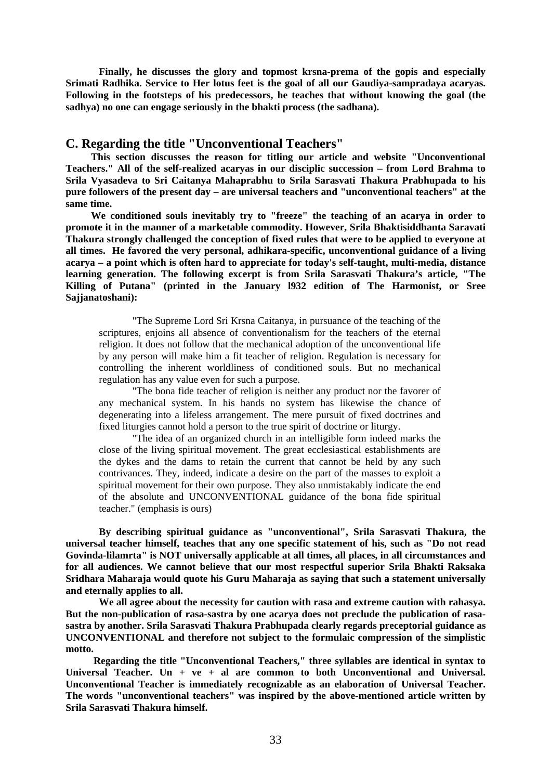**Finally, he discusses the glory and topmost krsna-prema of the gopis and especially Srimati Radhika. Service to Her lotus feet is the goal of all our Gaudiya-sampradaya acaryas. Following in the footsteps of his predecessors, he teaches that without knowing the goal (the sadhya) no one can engage seriously in the bhakti process (the sadhana).** 

### **C. Regarding the title "Unconventional Teachers"**

**This section discusses the reason for titling our article and website "Unconventional Teachers." All of the self-realized acaryas in our disciplic succession – from Lord Brahma to Srila Vyasadeva to Sri Caitanya Mahaprabhu to Srila Sarasvati Thakura Prabhupada to his pure followers of the present day – are universal teachers and "unconventional teachers" at the same time.** 

**We conditioned souls inevitably try to "freeze" the teaching of an acarya in order to promote it in the manner of a marketable commodity. However, Srila Bhaktisiddhanta Saravati Thakura strongly challenged the conception of fixed rules that were to be applied to everyone at all times. He favored the very personal, adhikara-specific, unconventional guidance of a living acarya – a point which is often hard to appreciate for today's self-taught, multi-media, distance learning generation. The following excerpt is from Srila Sarasvati Thakura's article, "The Killing of Putana" (printed in the January l932 edition of The Harmonist, or Sree Sajjanatoshani):**

"The Supreme Lord Sri Krsna Caitanya, in pursuance of the teaching of the scriptures, enjoins all absence of conventionalism for the teachers of the eternal religion. It does not follow that the mechanical adoption of the unconventional life by any person will make him a fit teacher of religion. Regulation is necessary for controlling the inherent worldliness of conditioned souls. But no mechanical regulation has any value even for such a purpose.

"The bona fide teacher of religion is neither any product nor the favorer of any mechanical system. In his hands no system has likewise the chance of degenerating into a lifeless arrangement. The mere pursuit of fixed doctrines and fixed liturgies cannot hold a person to the true spirit of doctrine or liturgy.

"The idea of an organized church in an intelligible form indeed marks the close of the living spiritual movement. The great ecclesiastical establishments are the dykes and the dams to retain the current that cannot be held by any such contrivances. They, indeed, indicate a desire on the part of the masses to exploit a spiritual movement for their own purpose. They also unmistakably indicate the end of the absolute and UNCONVENTIONAL guidance of the bona fide spiritual teacher." (emphasis is ours)

**By describing spiritual guidance as "unconventional", Srila Sarasvati Thakura, the universal teacher himself, teaches that any one specific statement of his, such as "Do not read Govinda-lilamrta" is NOT universally applicable at all times, all places, in all circumstances and for all audiences. We cannot believe that our most respectful superior Srila Bhakti Raksaka Sridhara Maharaja would quote his Guru Maharaja as saying that such a statement universally and eternally applies to all.** 

**We all agree about the necessity for caution with rasa and extreme caution with rahasya. But the non-publication of rasa-sastra by one acarya does not preclude the publication of rasasastra by another. Srila Sarasvati Thakura Prabhupada clearly regards preceptorial guidance as UNCONVENTIONAL and therefore not subject to the formulaic compression of the simplistic motto.** 

**Regarding the title "Unconventional Teachers," three syllables are identical in syntax to Universal Teacher. Un + ve + al are common to both Unconventional and Universal. Unconventional Teacher is immediately recognizable as an elaboration of Universal Teacher. The words "unconventional teachers" was inspired by the above-mentioned article written by Srila Sarasvati Thakura himself.**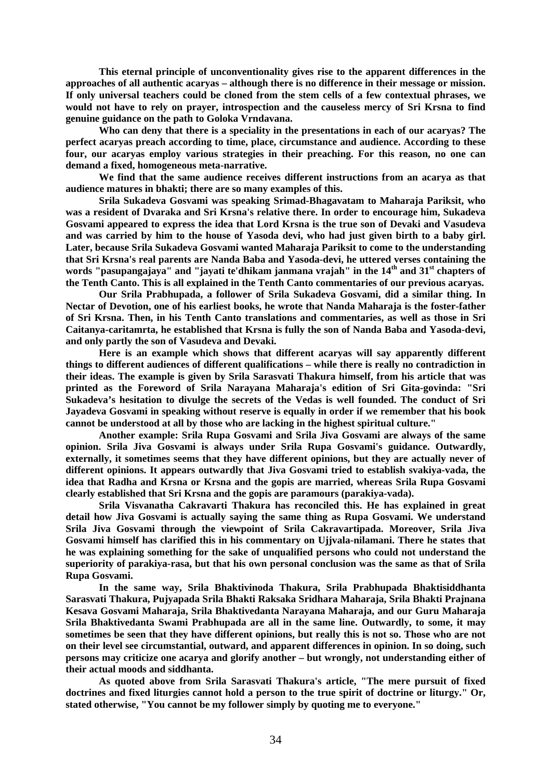**This eternal principle of unconventionality gives rise to the apparent differences in the approaches of all authentic acaryas – although there is no difference in their message or mission. If only universal teachers could be cloned from the stem cells of a few contextual phrases, we would not have to rely on prayer, introspection and the causeless mercy of Sri Krsna to find genuine guidance on the path to Goloka Vrndavana.** 

**Who can deny that there is a speciality in the presentations in each of our acaryas? The perfect acaryas preach according to time, place, circumstance and audience. According to these four, our acaryas employ various strategies in their preaching. For this reason, no one can demand a fixed, homogeneous meta-narrative.** 

**We find that the same audience receives different instructions from an acarya as that audience matures in bhakti; there are so many examples of this.** 

**Srila Sukadeva Gosvami was speaking Srimad-Bhagavatam to Maharaja Pariksit, who was a resident of Dvaraka and Sri Krsna's relative there. In order to encourage him, Sukadeva Gosvami appeared to express the idea that Lord Krsna is the true son of Devaki and Vasudeva and was carried by him to the house of Yasoda devi, who had just given birth to a baby girl. Later, because Srila Sukadeva Gosvami wanted Maharaja Pariksit to come to the understanding that Sri Krsna's real parents are Nanda Baba and Yasoda-devi, he uttered verses containing the words "pasupangajaya" and "jayati te'dhikam janmana vrajah" in the 14th and 31st chapters of the Tenth Canto. This is all explained in the Tenth Canto commentaries of our previous acaryas.** 

**Our Srila Prabhupada, a follower of Srila Sukadeva Gosvami, did a similar thing. In Nectar of Devotion, one of his earliest books, he wrote that Nanda Maharaja is the foster-father of Sri Krsna. Then, in his Tenth Canto translations and commentaries, as well as those in Sri Caitanya-caritamrta, he established that Krsna is fully the son of Nanda Baba and Yasoda-devi, and only partly the son of Vasudeva and Devaki.** 

**Here is an example which shows that different acaryas will say apparently different things to different audiences of different qualifications – while there is really no contradiction in their ideas. The example is given by Srila Sarasvati Thakura himself, from his article that was printed as the Foreword of Srila Narayana Maharaja's edition of Sri Gita-govinda: "Sri Sukadeva's hesitation to divulge the secrets of the Vedas is well founded. The conduct of Sri Jayadeva Gosvami in speaking without reserve is equally in order if we remember that his book cannot be understood at all by those who are lacking in the highest spiritual culture."** 

**Another example: Srila Rupa Gosvami and Srila Jiva Gosvami are always of the same opinion. Srila Jiva Gosvami is always under Srila Rupa Gosvami's guidance. Outwardly, externally, it sometimes seems that they have different opinions, but they are actually never of different opinions. It appears outwardly that Jiva Gosvami tried to establish svakiya-vada, the idea that Radha and Krsna or Krsna and the gopis are married, whereas Srila Rupa Gosvami clearly established that Sri Krsna and the gopis are paramours (parakiya-vada).**

**Srila Visvanatha Cakravarti Thakura has reconciled this. He has explained in great detail how Jiva Gosvami is actually saying the same thing as Rupa Gosvami. We understand Srila Jiva Gosvami through the viewpoint of Srila Cakravartipada. Moreover, Srila Jiva Gosvami himself has clarified this in his commentary on Ujjvala-nilamani. There he states that he was explaining something for the sake of unqualified persons who could not understand the superiority of parakiya-rasa, but that his own personal conclusion was the same as that of Srila Rupa Gosvami.** 

**In the same way, Srila Bhaktivinoda Thakura, Srila Prabhupada Bhaktisiddhanta Sarasvati Thakura, Pujyapada Srila Bhakti Raksaka Sridhara Maharaja, Srila Bhakti Prajnana Kesava Gosvami Maharaja, Srila Bhaktivedanta Narayana Maharaja, and our Guru Maharaja Srila Bhaktivedanta Swami Prabhupada are all in the same line. Outwardly, to some, it may sometimes be seen that they have different opinions, but really this is not so. Those who are not on their level see circumstantial, outward, and apparent differences in opinion. In so doing, such persons may criticize one acarya and glorify another – but wrongly, not understanding either of their actual moods and siddhanta.**

**As quoted above from Srila Sarasvati Thakura's article, "The mere pursuit of fixed doctrines and fixed liturgies cannot hold a person to the true spirit of doctrine or liturgy." Or, stated otherwise, "You cannot be my follower simply by quoting me to everyone."**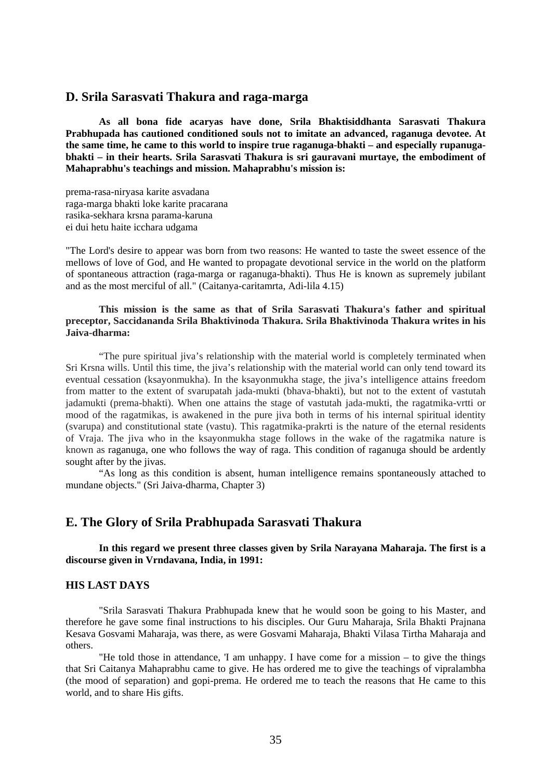## **D. Srila Sarasvati Thakura and raga-marga**

**As all bona fide acaryas have done, Srila Bhaktisiddhanta Sarasvati Thakura Prabhupada has cautioned conditioned souls not to imitate an advanced, raganuga devotee. At the same time, he came to this world to inspire true raganuga-bhakti – and especially rupanugabhakti – in their hearts. Srila Sarasvati Thakura is sri gauravani murtaye, the embodiment of Mahaprabhu's teachings and mission. Mahaprabhu's mission is:** 

prema-rasa-niryasa karite asvadana raga-marga bhakti loke karite pracarana rasika-sekhara krsna parama-karuna ei dui hetu haite icchara udgama

"The Lord's desire to appear was born from two reasons: He wanted to taste the sweet essence of the mellows of love of God, and He wanted to propagate devotional service in the world on the platform of spontaneous attraction (raga-marga or raganuga-bhakti). Thus He is known as supremely jubilant and as the most merciful of all." (Caitanya-caritamrta, Adi-lila 4.15)

### **This mission is the same as that of Srila Sarasvati Thakura's father and spiritual preceptor, Saccidananda Srila Bhaktivinoda Thakura. Srila Bhaktivinoda Thakura writes in his Jaiva-dharma:**

"The pure spiritual jiva's relationship with the material world is completely terminated when Sri Krsna wills. Until this time, the jiva's relationship with the material world can only tend toward its eventual cessation (ksayonmukha). In the ksayonmukha stage, the jiva's intelligence attains freedom from matter to the extent of svarupatah jada-mukti (bhava-bhakti), but not to the extent of vastutah jadamukti (prema-bhakti). When one attains the stage of vastutah jada-mukti, the ragatmika-vrtti or mood of the ragatmikas, is awakened in the pure jiva both in terms of his internal spiritual identity (svarupa) and constitutional state (vastu). This ragatmika-prakrti is the nature of the eternal residents of Vraja. The jiva who in the ksayonmukha stage follows in the wake of the ragatmika nature is known as raganuga, one who follows the way of raga. This condition of raganuga should be ardently sought after by the jivas.

"As long as this condition is absent, human intelligence remains spontaneously attached to mundane objects." (Sri Jaiva-dharma, Chapter 3)

## **E. The Glory of Srila Prabhupada Sarasvati Thakura**

**In this regard we present three classes given by Srila Narayana Maharaja. The first is a discourse given in Vrndavana, India, in 1991:** 

### **HIS LAST DAYS**

"Srila Sarasvati Thakura Prabhupada knew that he would soon be going to his Master, and therefore he gave some final instructions to his disciples. Our Guru Maharaja, Srila Bhakti Prajnana Kesava Gosvami Maharaja, was there, as were Gosvami Maharaja, Bhakti Vilasa Tirtha Maharaja and others.

"He told those in attendance, 'I am unhappy. I have come for a mission – to give the things that Sri Caitanya Mahaprabhu came to give. He has ordered me to give the teachings of vipralambha (the mood of separation) and gopi-prema. He ordered me to teach the reasons that He came to this world, and to share His gifts.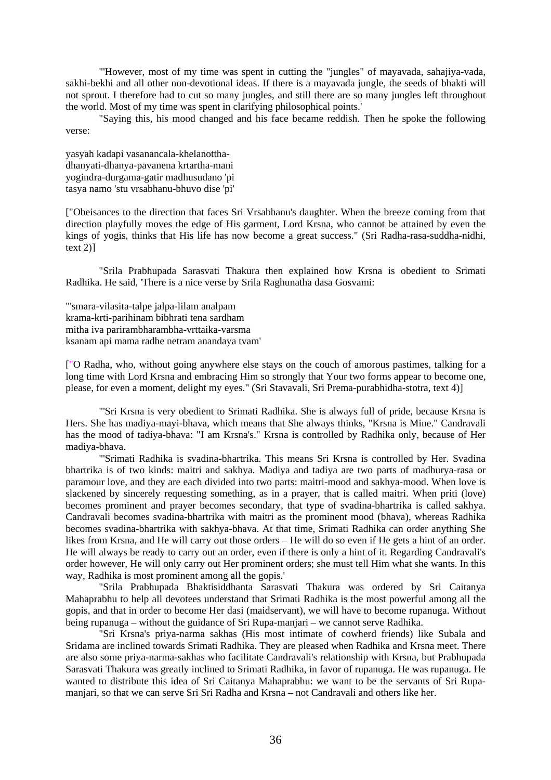"'However, most of my time was spent in cutting the "jungles" of mayavada, sahajiya-vada, sakhi-bekhi and all other non-devotional ideas. If there is a mayavada jungle, the seeds of bhakti will not sprout. I therefore had to cut so many jungles, and still there are so many jungles left throughout the world. Most of my time was spent in clarifying philosophical points.'

"Saying this, his mood changed and his face became reddish. Then he spoke the following verse:

yasyah kadapi vasanancala-khelanotthadhanyati-dhanya-pavanena krtartha-mani yogindra-durgama-gatir madhusudano 'pi tasya namo 'stu vrsabhanu-bhuvo dise 'pi'

["Obeisances to the direction that faces Sri Vrsabhanu's daughter. When the breeze coming from that direction playfully moves the edge of His garment, Lord Krsna, who cannot be attained by even the kings of yogis, thinks that His life has now become a great success." (Sri Radha-rasa-suddha-nidhi, text  $2)$ ]

"Srila Prabhupada Sarasvati Thakura then explained how Krsna is obedient to Srimati Radhika. He said, 'There is a nice verse by Srila Raghunatha dasa Gosvami:

"'smara-vilasita-talpe jalpa-lilam analpam krama-krti-parihinam bibhrati tena sardham mitha iva parirambharambha-vrttaika-varsma ksanam api mama radhe netram anandaya tvam'

["O Radha, who, without going anywhere else stays on the couch of amorous pastimes, talking for a long time with Lord Krsna and embracing Him so strongly that Your two forms appear to become one, please, for even a moment, delight my eyes." (Sri Stavavali, Sri Prema-purabhidha-stotra, text 4)]

"'Sri Krsna is very obedient to Srimati Radhika. She is always full of pride, because Krsna is Hers. She has madiya-mayi-bhava, which means that She always thinks, "Krsna is Mine." Candravali has the mood of tadiya-bhava: "I am Krsna's." Krsna is controlled by Radhika only, because of Her madiya-bhava.

"'Srimati Radhika is svadina-bhartrika. This means Sri Krsna is controlled by Her. Svadina bhartrika is of two kinds: maitri and sakhya. Madiya and tadiya are two parts of madhurya-rasa or paramour love, and they are each divided into two parts: maitri-mood and sakhya-mood. When love is slackened by sincerely requesting something, as in a prayer, that is called maitri. When priti (love) becomes prominent and prayer becomes secondary, that type of svadina-bhartrika is called sakhya. Candravali becomes svadina-bhartrika with maitri as the prominent mood (bhava), whereas Radhika becomes svadina-bhartrika with sakhya-bhava. At that time, Srimati Radhika can order anything She likes from Krsna, and He will carry out those orders – He will do so even if He gets a hint of an order. He will always be ready to carry out an order, even if there is only a hint of it. Regarding Candravali's order however, He will only carry out Her prominent orders; she must tell Him what she wants. In this way, Radhika is most prominent among all the gopis.'

"Srila Prabhupada Bhaktisiddhanta Sarasvati Thakura was ordered by Sri Caitanya Mahaprabhu to help all devotees understand that Srimati Radhika is the most powerful among all the gopis, and that in order to become Her dasi (maidservant), we will have to become rupanuga. Without being rupanuga – without the guidance of Sri Rupa-manjari – we cannot serve Radhika.

"Sri Krsna's priya-narma sakhas (His most intimate of cowherd friends) like Subala and Sridama are inclined towards Srimati Radhika. They are pleased when Radhika and Krsna meet. There are also some priya-narma-sakhas who facilitate Candravali's relationship with Krsna, but Prabhupada Sarasvati Thakura was greatly inclined to Srimati Radhika, in favor of rupanuga. He was rupanuga. He wanted to distribute this idea of Sri Caitanya Mahaprabhu: we want to be the servants of Sri Rupamanjari, so that we can serve Sri Sri Radha and Krsna – not Candravali and others like her.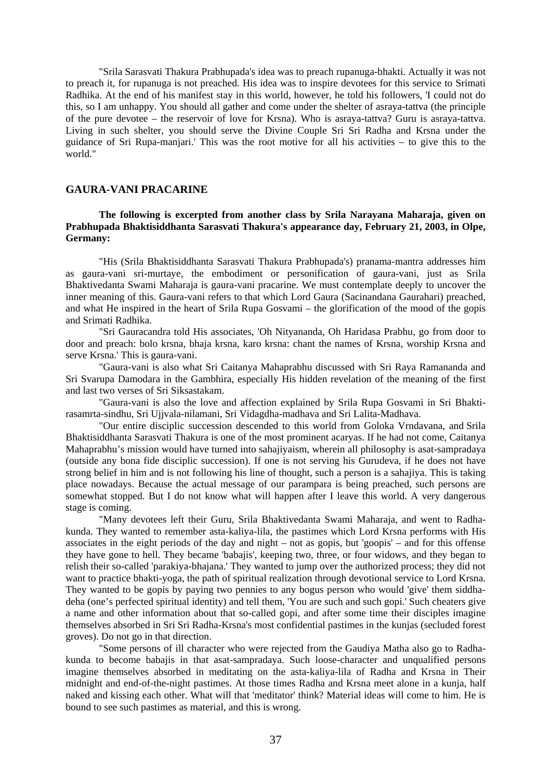"Srila Sarasvati Thakura Prabhupada's idea was to preach rupanuga-bhakti. Actually it was not to preach it, for rupanuga is not preached. His idea was to inspire devotees for this service to Srimati Radhika. At the end of his manifest stay in this world, however, he told his followers, 'I could not do this, so I am unhappy. You should all gather and come under the shelter of asraya-tattva (the principle of the pure devotee – the reservoir of love for Krsna). Who is asraya-tattva? Guru is asraya-tattva. Living in such shelter, you should serve the Divine Couple Sri Sri Radha and Krsna under the guidance of Sri Rupa-manjari.' This was the root motive for all his activities – to give this to the world."

#### **GAURA-VANI PRACARINE**

### **The following is excerpted from another class by Srila Narayana Maharaja, given on Prabhupada Bhaktisiddhanta Sarasvati Thakura's appearance day, February 21, 2003, in Olpe, Germany:**

"His (Srila Bhaktisiddhanta Sarasvati Thakura Prabhupada's) pranama-mantra addresses him as gaura-vani sri-murtaye, the embodiment or personification of gaura-vani, just as Srila Bhaktivedanta Swami Maharaja is gaura-vani pracarine. We must contemplate deeply to uncover the inner meaning of this. Gaura-vani refers to that which Lord Gaura (Sacinandana Gaurahari) preached, and what He inspired in the heart of Srila Rupa Gosvami – the glorification of the mood of the gopis and Srimati Radhika.

"Sri Gauracandra told His associates, 'Oh Nityananda, Oh Haridasa Prabhu, go from door to door and preach: bolo krsna, bhaja krsna, karo krsna: chant the names of Krsna, worship Krsna and serve Krsna.' This is gaura-vani.

"Gaura-vani is also what Sri Caitanya Mahaprabhu discussed with Sri Raya Ramananda and Sri Svarupa Damodara in the Gambhira, especially His hidden revelation of the meaning of the first and last two verses of Sri Siksastakam.

"Gaura-vani is also the love and affection explained by Srila Rupa Gosvami in Sri Bhaktirasamrta-sindhu, Sri Ujjvala-nilamani, Sri Vidagdha-madhava and Sri Lalita-Madhava.

"Our entire disciplic succession descended to this world from Goloka Vrndavana, and Srila Bhaktisiddhanta Sarasvati Thakura is one of the most prominent acaryas. If he had not come, Caitanya Mahaprabhu's mission would have turned into sahajiyaism, wherein all philosophy is asat-sampradaya (outside any bona fide disciplic succession). If one is not serving his Gurudeva, if he does not have strong belief in him and is not following his line of thought, such a person is a sahajiya. This is taking place nowadays. Because the actual message of our parampara is being preached, such persons are somewhat stopped. But I do not know what will happen after I leave this world. A very dangerous stage is coming.

"Many devotees left their Guru, Srila Bhaktivedanta Swami Maharaja, and went to Radhakunda. They wanted to remember asta-kaliya-lila, the pastimes which Lord Krsna performs with His associates in the eight periods of the day and night – not as gopis, but 'goopis' – and for this offense they have gone to hell. They became 'babajis', keeping two, three, or four widows, and they began to relish their so-called 'parakiya-bhajana.' They wanted to jump over the authorized process; they did not want to practice bhakti-yoga, the path of spiritual realization through devotional service to Lord Krsna. They wanted to be gopis by paying two pennies to any bogus person who would 'give' them siddhadeha (one's perfected spiritual identity) and tell them, 'You are such and such gopi.' Such cheaters give a name and other information about that so-called gopi, and after some time their disciples imagine themselves absorbed in Sri Sri Radha-Krsna's most confidential pastimes in the kunjas (secluded forest groves). Do not go in that direction.

"Some persons of ill character who were rejected from the Gaudiya Matha also go to Radhakunda to become babajis in that asat-sampradaya. Such loose-character and unqualified persons imagine themselves absorbed in meditating on the asta-kaliya-lila of Radha and Krsna in Their midnight and end-of-the-night pastimes. At those times Radha and Krsna meet alone in a kunja, half naked and kissing each other. What will that 'meditator' think? Material ideas will come to him. He is bound to see such pastimes as material, and this is wrong.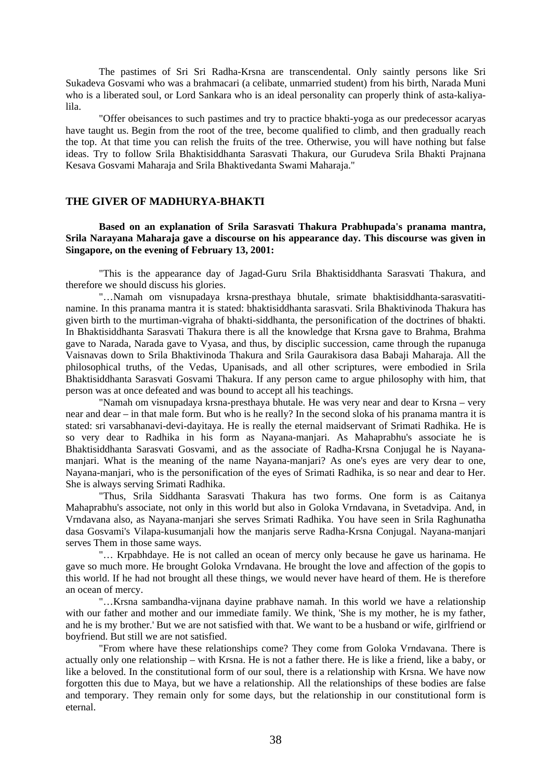The pastimes of Sri Sri Radha-Krsna are transcendental. Only saintly persons like Sri Sukadeva Gosvami who was a brahmacari (a celibate, unmarried student) from his birth, Narada Muni who is a liberated soul, or Lord Sankara who is an ideal personality can properly think of asta-kaliyalila.

"Offer obeisances to such pastimes and try to practice bhakti-yoga as our predecessor acaryas have taught us. Begin from the root of the tree, become qualified to climb, and then gradually reach the top. At that time you can relish the fruits of the tree. Otherwise, you will have nothing but false ideas. Try to follow Srila Bhaktisiddhanta Sarasvati Thakura, our Gurudeva Srila Bhakti Prajnana Kesava Gosvami Maharaja and Srila Bhaktivedanta Swami Maharaja."

## **THE GIVER OF MADHURYA-BHAKTI**

**Based on an explanation of Srila Sarasvati Thakura Prabhupada's pranama mantra, Srila Narayana Maharaja gave a discourse on his appearance day. This discourse was given in Singapore, on the evening of February 13, 2001:** 

"This is the appearance day of Jagad-Guru Srila Bhaktisiddhanta Sarasvati Thakura, and therefore we should discuss his glories.

"…Namah om visnupadaya krsna-presthaya bhutale, srimate bhaktisiddhanta-sarasvatitinamine. In this pranama mantra it is stated: bhaktisiddhanta sarasvati. Srila Bhaktivinoda Thakura has given birth to the murtiman-vigraha of bhakti-siddhanta, the personification of the doctrines of bhakti. In Bhaktisiddhanta Sarasvati Thakura there is all the knowledge that Krsna gave to Brahma, Brahma gave to Narada, Narada gave to Vyasa, and thus, by disciplic succession, came through the rupanuga Vaisnavas down to Srila Bhaktivinoda Thakura and Srila Gaurakisora dasa Babaji Maharaja. All the philosophical truths, of the Vedas, Upanisads, and all other scriptures, were embodied in Srila Bhaktisiddhanta Sarasvati Gosvami Thakura. If any person came to argue philosophy with him, that person was at once defeated and was bound to accept all his teachings.

"Namah om visnupadaya krsna-presthaya bhutale. He was very near and dear to Krsna – very near and dear – in that male form. But who is he really? In the second sloka of his pranama mantra it is stated: sri varsabhanavi-devi-dayitaya. He is really the eternal maidservant of Srimati Radhika. He is so very dear to Radhika in his form as Nayana-manjari. As Mahaprabhu's associate he is Bhaktisiddhanta Sarasvati Gosvami, and as the associate of Radha-Krsna Conjugal he is Nayanamanjari. What is the meaning of the name Nayana-manjari? As one's eyes are very dear to one, Nayana-manjari, who is the personification of the eyes of Srimati Radhika, is so near and dear to Her. She is always serving Srimati Radhika.

"Thus, Srila Siddhanta Sarasvati Thakura has two forms. One form is as Caitanya Mahaprabhu's associate, not only in this world but also in Goloka Vrndavana, in Svetadvipa. And, in Vrndavana also, as Nayana-manjari she serves Srimati Radhika. You have seen in Srila Raghunatha dasa Gosvami's Vilapa-kusumanjali how the manjaris serve Radha-Krsna Conjugal. Nayana-manjari serves Them in those same ways.

"… Krpabhdaye. He is not called an ocean of mercy only because he gave us harinama. He gave so much more. He brought Goloka Vrndavana. He brought the love and affection of the gopis to this world. If he had not brought all these things, we would never have heard of them. He is therefore an ocean of mercy.

"…Krsna sambandha-vijnana dayine prabhave namah. In this world we have a relationship with our father and mother and our immediate family. We think, 'She is my mother, he is my father, and he is my brother.' But we are not satisfied with that. We want to be a husband or wife, girlfriend or boyfriend. But still we are not satisfied.

"From where have these relationships come? They come from Goloka Vrndavana. There is actually only one relationship – with Krsna. He is not a father there. He is like a friend, like a baby, or like a beloved. In the constitutional form of our soul, there is a relationship with Krsna. We have now forgotten this due to Maya, but we have a relationship. All the relationships of these bodies are false and temporary. They remain only for some days, but the relationship in our constitutional form is eternal.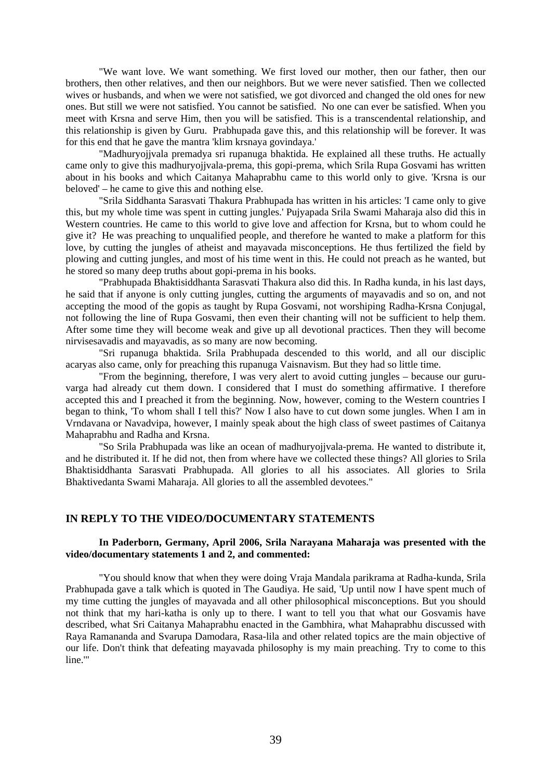"We want love. We want something. We first loved our mother, then our father, then our brothers, then other relatives, and then our neighbors. But we were never satisfied. Then we collected wives or husbands, and when we were not satisfied, we got divorced and changed the old ones for new ones. But still we were not satisfied. You cannot be satisfied. No one can ever be satisfied. When you meet with Krsna and serve Him, then you will be satisfied. This is a transcendental relationship, and this relationship is given by Guru. Prabhupada gave this, and this relationship will be forever. It was for this end that he gave the mantra 'klim krsnaya govindaya.'

"Madhuryojjvala premadya sri rupanuga bhaktida. He explained all these truths. He actually came only to give this madhuryojjvala-prema, this gopi-prema, which Srila Rupa Gosvami has written about in his books and which Caitanya Mahaprabhu came to this world only to give. 'Krsna is our beloved' – he came to give this and nothing else.

"Srila Siddhanta Sarasvati Thakura Prabhupada has written in his articles: 'I came only to give this, but my whole time was spent in cutting jungles.' Pujyapada Srila Swami Maharaja also did this in Western countries. He came to this world to give love and affection for Krsna, but to whom could he give it? He was preaching to unqualified people, and therefore he wanted to make a platform for this love, by cutting the jungles of atheist and mayavada misconceptions. He thus fertilized the field by plowing and cutting jungles, and most of his time went in this. He could not preach as he wanted, but he stored so many deep truths about gopi-prema in his books.

"Prabhupada Bhaktisiddhanta Sarasvati Thakura also did this. In Radha kunda, in his last days, he said that if anyone is only cutting jungles, cutting the arguments of mayavadis and so on, and not accepting the mood of the gopis as taught by Rupa Gosvami, not worshiping Radha-Krsna Conjugal, not following the line of Rupa Gosvami, then even their chanting will not be sufficient to help them. After some time they will become weak and give up all devotional practices. Then they will become nirvisesavadis and mayavadis, as so many are now becoming.

"Sri rupanuga bhaktida. Srila Prabhupada descended to this world, and all our disciplic acaryas also came, only for preaching this rupanuga Vaisnavism. But they had so little time.

"From the beginning, therefore, I was very alert to avoid cutting jungles – because our guruvarga had already cut them down. I considered that I must do something affirmative. I therefore accepted this and I preached it from the beginning. Now, however, coming to the Western countries I began to think, 'To whom shall I tell this?' Now I also have to cut down some jungles. When I am in Vrndavana or Navadvipa, however, I mainly speak about the high class of sweet pastimes of Caitanya Mahaprabhu and Radha and Krsna.

"So Srila Prabhupada was like an ocean of madhuryojjvala-prema. He wanted to distribute it, and he distributed it. If he did not, then from where have we collected these things? All glories to Srila Bhaktisiddhanta Sarasvati Prabhupada. All glories to all his associates. All glories to Srila Bhaktivedanta Swami Maharaja. All glories to all the assembled devotees."

### **IN REPLY TO THE VIDEO/DOCUMENTARY STATEMENTS**

#### **In Paderborn, Germany, April 2006, Srila Narayana Maharaja was presented with the video/documentary statements 1 and 2, and commented:**

"You should know that when they were doing Vraja Mandala parikrama at Radha-kunda, Srila Prabhupada gave a talk which is quoted in The Gaudiya. He said, 'Up until now I have spent much of my time cutting the jungles of mayavada and all other philosophical misconceptions. But you should not think that my hari-katha is only up to there. I want to tell you that what our Gosvamis have described, what Sri Caitanya Mahaprabhu enacted in the Gambhira, what Mahaprabhu discussed with Raya Ramananda and Svarupa Damodara, Rasa-lila and other related topics are the main objective of our life. Don't think that defeating mayavada philosophy is my main preaching. Try to come to this line.'"